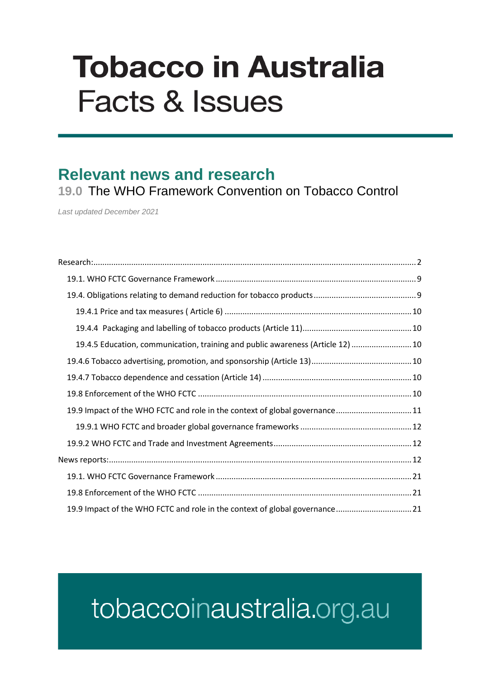# **Tobacco in Australia Facts & Issues**

### **Relevant news and research**

**19.0** The WHO Framework Convention on Tobacco Control

*Last updated December 2021*

| 19.4.5 Education, communication, training and public awareness (Article 12)  10 |  |
|---------------------------------------------------------------------------------|--|
|                                                                                 |  |
|                                                                                 |  |
|                                                                                 |  |
| 11.9.9 Impact of the WHO FCTC and role in the context of global governance 11   |  |
|                                                                                 |  |
|                                                                                 |  |
|                                                                                 |  |
|                                                                                 |  |
|                                                                                 |  |
| 19.9 Impact of the WHO FCTC and role in the context of global governance21      |  |

## tobaccoinaustralia.org.au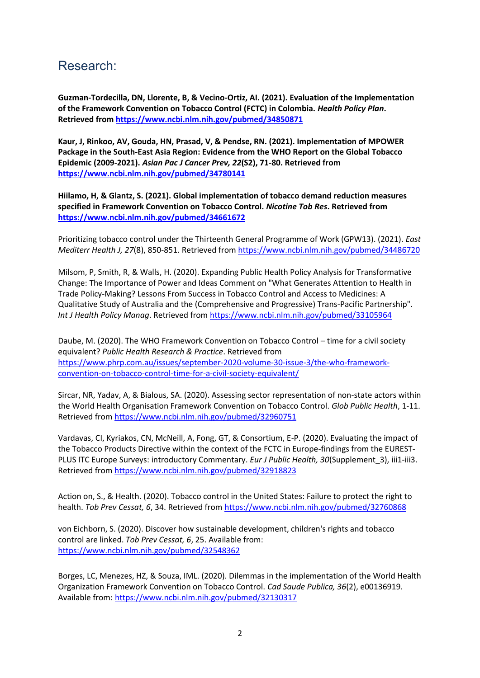#### <span id="page-1-0"></span>Research:

**Guzman-Tordecilla, DN, Llorente, B, & Vecino-Ortiz, AI. (2021). Evaluation of the Implementation of the Framework Convention on Tobacco Control (FCTC) in Colombia.** *Health Policy Plan***. Retrieved fro[m https://www.ncbi.nlm.nih.gov/pubmed/34850871](https://www.ncbi.nlm.nih.gov/pubmed/34850871)**

**Kaur, J, Rinkoo, AV, Gouda, HN, Prasad, V, & Pendse, RN. (2021). Implementation of MPOWER Package in the South-East Asia Region: Evidence from the WHO Report on the Global Tobacco Epidemic (2009-2021).** *Asian Pac J Cancer Prev, 22***(S2), 71-80. Retrieved from <https://www.ncbi.nlm.nih.gov/pubmed/34780141>**

**Hiilamo, H, & Glantz, S. (2021). Global implementation of tobacco demand reduction measures specified in Framework Convention on Tobacco Control.** *Nicotine Tob Res***. Retrieved from <https://www.ncbi.nlm.nih.gov/pubmed/34661672>**

Prioritizing tobacco control under the Thirteenth General Programme of Work (GPW13). (2021). *East Mediterr Health J, 27*(8), 850-851. Retrieved from<https://www.ncbi.nlm.nih.gov/pubmed/34486720>

Milsom, P, Smith, R, & Walls, H. (2020). Expanding Public Health Policy Analysis for Transformative Change: The Importance of Power and Ideas Comment on "What Generates Attention to Health in Trade Policy-Making? Lessons From Success in Tobacco Control and Access to Medicines: A Qualitative Study of Australia and the (Comprehensive and Progressive) Trans-Pacific Partnership". *Int J Health Policy Manag*. Retrieved from<https://www.ncbi.nlm.nih.gov/pubmed/33105964>

Daube, M. (2020). The WHO Framework Convention on Tobacco Control – time for a civil society equivalent? *Public Health Research & Practice*. Retrieved from [https://www.phrp.com.au/issues/september-2020-volume-30-issue-3/the-who-framework](https://www.phrp.com.au/issues/september-2020-volume-30-issue-3/the-who-framework-convention-on-tobacco-control-time-for-a-civil-society-equivalent/)[convention-on-tobacco-control-time-for-a-civil-society-equivalent/](https://www.phrp.com.au/issues/september-2020-volume-30-issue-3/the-who-framework-convention-on-tobacco-control-time-for-a-civil-society-equivalent/)

Sircar, NR, Yadav, A, & Bialous, SA. (2020). Assessing sector representation of non-state actors within the World Health Organisation Framework Convention on Tobacco Control. *Glob Public Health*, 1-11. Retrieved from<https://www.ncbi.nlm.nih.gov/pubmed/32960751>

Vardavas, CI, Kyriakos, CN, McNeill, A, Fong, GT, & Consortium, E-P. (2020). Evaluating the impact of the Tobacco Products Directive within the context of the FCTC in Europe-findings from the EUREST-PLUS ITC Europe Surveys: introductory Commentary. *Eur J Public Health, 30*(Supplement\_3), iii1-iii3. Retrieved from<https://www.ncbi.nlm.nih.gov/pubmed/32918823>

Action on, S., & Health. (2020). Tobacco control in the United States: Failure to protect the right to health. *Tob Prev Cessat, 6*, 34. Retrieved from<https://www.ncbi.nlm.nih.gov/pubmed/32760868>

von Eichborn, S. (2020). Discover how sustainable development, children's rights and tobacco control are linked. *Tob Prev Cessat, 6*, 25. Available from: <https://www.ncbi.nlm.nih.gov/pubmed/32548362>

Borges, LC, Menezes, HZ, & Souza, IML. (2020). Dilemmas in the implementation of the World Health Organization Framework Convention on Tobacco Control. *Cad Saude Publica, 36*(2), e00136919. Available from[: https://www.ncbi.nlm.nih.gov/pubmed/32130317](https://www.ncbi.nlm.nih.gov/pubmed/32130317)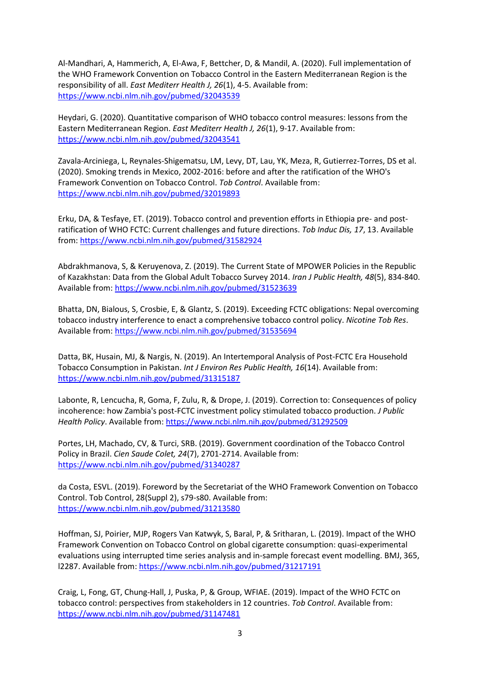Al-Mandhari, A, Hammerich, A, El-Awa, F, Bettcher, D, & Mandil, A. (2020). Full implementation of the WHO Framework Convention on Tobacco Control in the Eastern Mediterranean Region is the responsibility of all. *East Mediterr Health J, 26*(1), 4-5. Available from: <https://www.ncbi.nlm.nih.gov/pubmed/32043539>

Heydari, G. (2020). Quantitative comparison of WHO tobacco control measures: lessons from the Eastern Mediterranean Region. *East Mediterr Health J, 26*(1), 9-17. Available from: <https://www.ncbi.nlm.nih.gov/pubmed/32043541>

Zavala-Arciniega, L, Reynales-Shigematsu, LM, Levy, DT, Lau, YK, Meza, R, Gutierrez-Torres, DS et al. (2020). Smoking trends in Mexico, 2002-2016: before and after the ratification of the WHO's Framework Convention on Tobacco Control. *Tob Control*. Available from: <https://www.ncbi.nlm.nih.gov/pubmed/32019893>

Erku, DA, & Tesfaye, ET. (2019). Tobacco control and prevention efforts in Ethiopia pre- and postratification of WHO FCTC: Current challenges and future directions. *Tob Induc Dis, 17*, 13. Available from:<https://www.ncbi.nlm.nih.gov/pubmed/31582924>

Abdrakhmanova, S, & Keruyenova, Z. (2019). The Current State of MPOWER Policies in the Republic of Kazakhstan: Data from the Global Adult Tobacco Survey 2014. *Iran J Public Health, 48*(5), 834-840. Available from[: https://www.ncbi.nlm.nih.gov/pubmed/31523639](https://www.ncbi.nlm.nih.gov/pubmed/31523639)

Bhatta, DN, Bialous, S, Crosbie, E, & Glantz, S. (2019). Exceeding FCTC obligations: Nepal overcoming tobacco industry interference to enact a comprehensive tobacco control policy. *Nicotine Tob Res*. Available from[: https://www.ncbi.nlm.nih.gov/pubmed/31535694](https://www.ncbi.nlm.nih.gov/pubmed/31535694)

Datta, BK, Husain, MJ, & Nargis, N. (2019). An Intertemporal Analysis of Post-FCTC Era Household Tobacco Consumption in Pakistan. *Int J Environ Res Public Health, 16*(14). Available from: <https://www.ncbi.nlm.nih.gov/pubmed/31315187>

Labonte, R, Lencucha, R, Goma, F, Zulu, R, & Drope, J. (2019). Correction to: Consequences of policy incoherence: how Zambia's post-FCTC investment policy stimulated tobacco production. *J Public Health Policy*. Available from[: https://www.ncbi.nlm.nih.gov/pubmed/31292509](https://www.ncbi.nlm.nih.gov/pubmed/31292509)

Portes, LH, Machado, CV, & Turci, SRB. (2019). Government coordination of the Tobacco Control Policy in Brazil. *Cien Saude Colet, 24*(7), 2701-2714. Available from: <https://www.ncbi.nlm.nih.gov/pubmed/31340287>

da Costa, ESVL. (2019). Foreword by the Secretariat of the WHO Framework Convention on Tobacco Control. Tob Control, 28(Suppl 2), s79-s80. Available from: <https://www.ncbi.nlm.nih.gov/pubmed/31213580>

Hoffman, SJ, Poirier, MJP, Rogers Van Katwyk, S, Baral, P, & Sritharan, L. (2019). Impact of the WHO Framework Convention on Tobacco Control on global cigarette consumption: quasi-experimental evaluations using interrupted time series analysis and in-sample forecast event modelling. BMJ, 365, l2287. Available from[: https://www.ncbi.nlm.nih.gov/pubmed/31217191](https://www.ncbi.nlm.nih.gov/pubmed/31217191)

Craig, L, Fong, GT, Chung-Hall, J, Puska, P, & Group, WFIAE. (2019). Impact of the WHO FCTC on tobacco control: perspectives from stakeholders in 12 countries. *Tob Control*. Available from: <https://www.ncbi.nlm.nih.gov/pubmed/31147481>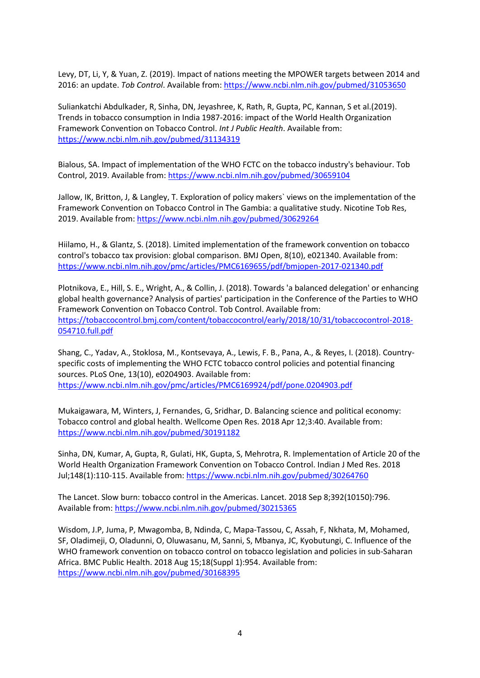Levy, DT, Li, Y, & Yuan, Z. (2019). Impact of nations meeting the MPOWER targets between 2014 and 2016: an update. *Tob Control*. Available from:<https://www.ncbi.nlm.nih.gov/pubmed/31053650>

Suliankatchi Abdulkader, R, Sinha, DN, Jeyashree, K, Rath, R, Gupta, PC, Kannan, S et al.(2019). Trends in tobacco consumption in India 1987-2016: impact of the World Health Organization Framework Convention on Tobacco Control. *Int J Public Health*. Available from: <https://www.ncbi.nlm.nih.gov/pubmed/31134319>

Bialous, SA. Impact of implementation of the WHO FCTC on the tobacco industry's behaviour. Tob Control, 2019. Available from[: https://www.ncbi.nlm.nih.gov/pubmed/30659104](https://www.ncbi.nlm.nih.gov/pubmed/30659104)

Jallow, IK, Britton, J, & Langley, T. Exploration of policy makers` views on the implementation of the Framework Convention on Tobacco Control in The Gambia: a qualitative study. Nicotine Tob Res, 2019. Available from:<https://www.ncbi.nlm.nih.gov/pubmed/30629264>

Hiilamo, H., & Glantz, S. (2018). Limited implementation of the framework convention on tobacco control's tobacco tax provision: global comparison. BMJ Open, 8(10), e021340. Available from: <https://www.ncbi.nlm.nih.gov/pmc/articles/PMC6169655/pdf/bmjopen-2017-021340.pdf>

Plotnikova, E., Hill, S. E., Wright, A., & Collin, J. (2018). Towards 'a balanced delegation' or enhancing global health governance? Analysis of parties' participation in the Conference of the Parties to WHO Framework Convention on Tobacco Control. Tob Control. Available from: [https://tobaccocontrol.bmj.com/content/tobaccocontrol/early/2018/10/31/tobaccocontrol-2018-](https://tobaccocontrol.bmj.com/content/tobaccocontrol/early/2018/10/31/tobaccocontrol-2018-054710.full.pdf) [054710.full.pdf](https://tobaccocontrol.bmj.com/content/tobaccocontrol/early/2018/10/31/tobaccocontrol-2018-054710.full.pdf)

Shang, C., Yadav, A., Stoklosa, M., Kontsevaya, A., Lewis, F. B., Pana, A., & Reyes, I. (2018). Countryspecific costs of implementing the WHO FCTC tobacco control policies and potential financing sources. PLoS One, 13(10), e0204903. Available from: <https://www.ncbi.nlm.nih.gov/pmc/articles/PMC6169924/pdf/pone.0204903.pdf>

Mukaigawara, M, Winters, J, Fernandes, G, Sridhar, D. Balancing science and political economy: Tobacco control and global health. Wellcome Open Res. 2018 Apr 12;3:40. Available from: <https://www.ncbi.nlm.nih.gov/pubmed/30191182>

Sinha, DN, Kumar, A, Gupta, R, Gulati, HK, Gupta, S, Mehrotra, R. Implementation of Article 20 of the World Health Organization Framework Convention on Tobacco Control. Indian J Med Res. 2018 Jul;148(1):110-115. Available from:<https://www.ncbi.nlm.nih.gov/pubmed/30264760>

The Lancet. Slow burn: tobacco control in the Americas. Lancet. 2018 Sep 8;392(10150):796. Available from[: https://www.ncbi.nlm.nih.gov/pubmed/30215365](https://www.ncbi.nlm.nih.gov/pubmed/30215365)

Wisdom, J.P, Juma, P, Mwagomba, B, Ndinda, C, Mapa-Tassou, C, Assah, F, Nkhata, M, Mohamed, SF, Oladimeji, O, Oladunni, O, Oluwasanu, M, Sanni, S, Mbanya, JC, Kyobutungi, C. Influence of the WHO framework convention on tobacco control on tobacco legislation and policies in sub-Saharan Africa. BMC Public Health. 2018 Aug 15;18(Suppl 1):954. Available from: <https://www.ncbi.nlm.nih.gov/pubmed/30168395>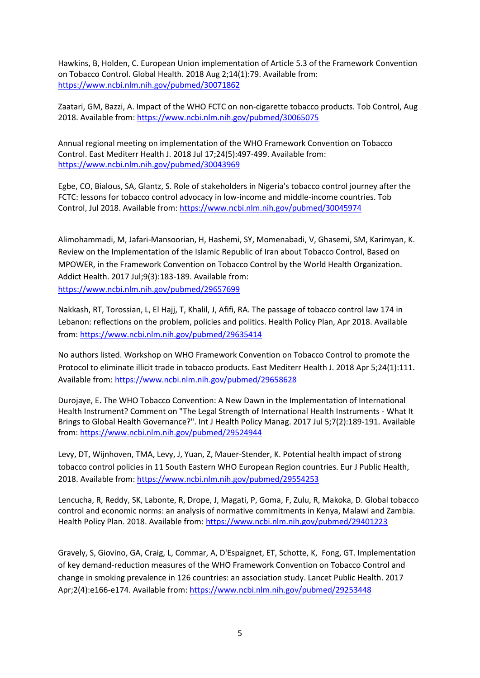Hawkins, B, Holden, C. European Union implementation of Article 5.3 of the Framework Convention on Tobacco Control. Global Health. 2018 Aug 2;14(1):79. Available from: <https://www.ncbi.nlm.nih.gov/pubmed/30071862>

Zaatari, GM, Bazzi, A. Impact of the WHO FCTC on non-cigarette tobacco products. Tob Control, Aug 2018. Available from:<https://www.ncbi.nlm.nih.gov/pubmed/30065075>

Annual regional meeting on implementation of the WHO Framework Convention on Tobacco Control. East Mediterr Health J. 2018 Jul 17;24(5):497-499. Available from: <https://www.ncbi.nlm.nih.gov/pubmed/30043969>

Egbe, CO, Bialous, SA, Glantz, S. Role of stakeholders in Nigeria's tobacco control journey after the FCTC: lessons for tobacco control advocacy in low-income and middle-income countries. Tob Control, Jul 2018. Available from:<https://www.ncbi.nlm.nih.gov/pubmed/30045974>

Alimohammadi, M, Jafari-Mansoorian, H, Hashemi, SY, Momenabadi, V, Ghasemi, SM, Karimyan, K. Review on the Implementation of the Islamic Republic of Iran about Tobacco Control, Based on MPOWER, in the Framework Convention on Tobacco Control by the World Health Organization. Addict Health. 2017 Jul;9(3):183-189. Available from: <https://www.ncbi.nlm.nih.gov/pubmed/29657699>

Nakkash, RT, Torossian, L, El Hajj, T, Khalil, J, Afifi, RA. The passage of tobacco control law 174 in Lebanon: reflections on the problem, policies and politics. Health Policy Plan, Apr 2018. Available from:<https://www.ncbi.nlm.nih.gov/pubmed/29635414>

No authors listed. Workshop on WHO Framework Convention on Tobacco Control to promote the Protocol to eliminate illicit trade in tobacco products. East Mediterr Health J. 2018 Apr 5;24(1):111. Available from[: https://www.ncbi.nlm.nih.gov/pubmed/29658628](https://www.ncbi.nlm.nih.gov/pubmed/29658628)

Durojaye, E. The WHO Tobacco Convention: A New Dawn in the Implementation of International Health Instrument? Comment on "The Legal Strength of International Health Instruments - What It Brings to Global Health Governance?". Int J Health Policy Manag. 2017 Jul 5;7(2):189-191. Available from:<https://www.ncbi.nlm.nih.gov/pubmed/29524944>

Levy, DT, Wijnhoven, TMA, Levy, J, Yuan, Z, Mauer-Stender, K. Potential health impact of strong tobacco control policies in 11 South Eastern WHO European Region countries. Eur J Public Health, 2018. Available from:<https://www.ncbi.nlm.nih.gov/pubmed/29554253>

Lencucha, R, Reddy, SK, Labonte, R, Drope, J, Magati, P, Goma, F, Zulu, R, Makoka, D. Global tobacco control and economic norms: an analysis of normative commitments in Kenya, Malawi and Zambia. Health Policy Plan. 2018. Available from:<https://www.ncbi.nlm.nih.gov/pubmed/29401223>

Gravely, S, Giovino, GA, Craig, L, Commar, A, D'Espaignet, ET, Schotte, K, Fong, GT. Implementation of key demand-reduction measures of the WHO Framework Convention on Tobacco Control and change in smoking prevalence in 126 countries: an association study. Lancet Public Health. 2017 Apr;2(4):e166-e174. Available from:<https://www.ncbi.nlm.nih.gov/pubmed/29253448>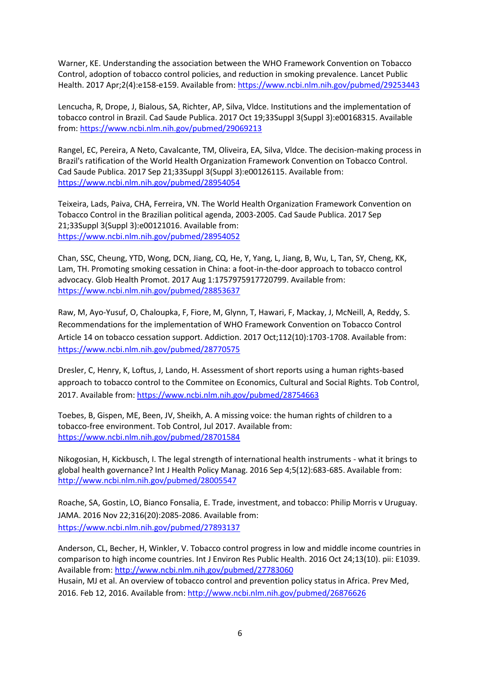Warner, KE. Understanding the association between the WHO Framework Convention on Tobacco Control, adoption of tobacco control policies, and reduction in smoking prevalence. Lancet Public Health. 2017 Apr;2(4):e158-e159. Available from[: https://www.ncbi.nlm.nih.gov/pubmed/29253443](https://www.ncbi.nlm.nih.gov/pubmed/29253443)

Lencucha, R, Drope, J, Bialous, SA, Richter, AP, Silva, Vldce. Institutions and the implementation of tobacco control in Brazil. Cad Saude Publica. 2017 Oct 19;33Suppl 3(Suppl 3):e00168315. Available from:<https://www.ncbi.nlm.nih.gov/pubmed/29069213>

Rangel, EC, Pereira, A Neto, Cavalcante, TM, Oliveira, EA, Silva, Vldce. The decision-making process in Brazil's ratification of the World Health Organization Framework Convention on Tobacco Control. Cad Saude Publica. 2017 Sep 21;33Suppl 3(Suppl 3):e00126115. Available from: <https://www.ncbi.nlm.nih.gov/pubmed/28954054>

Teixeira, Lads, Paiva, CHA, Ferreira, VN. The World Health Organization Framework Convention on Tobacco Control in the Brazilian political agenda, 2003-2005. Cad Saude Publica. 2017 Sep 21;33Suppl 3(Suppl 3):e00121016. Available from: <https://www.ncbi.nlm.nih.gov/pubmed/28954052>

Chan, SSC, Cheung, YTD, Wong, DCN, Jiang, CQ, He, Y, Yang, L, Jiang, B, Wu, L, Tan, SY, Cheng, KK, Lam, TH. Promoting smoking cessation in China: a foot-in-the-door approach to tobacco control advocacy. Glob Health Promot. 2017 Aug 1:1757975917720799. Available from: <https://www.ncbi.nlm.nih.gov/pubmed/28853637>

Raw, M, Ayo-Yusuf, O, Chaloupka, F, Fiore, M, Glynn, T, Hawari, F, Mackay, J, McNeill, A, Reddy, S. Recommendations for the implementation of WHO Framework Convention on Tobacco Control Article 14 on tobacco cessation support. Addiction. 2017 Oct;112(10):1703-1708. Available from: <https://www.ncbi.nlm.nih.gov/pubmed/28770575>

Dresler, C, Henry, K, Loftus, J, Lando, H. Assessment of short reports using a human rights-based approach to tobacco control to the Commitee on Economics, Cultural and Social Rights. Tob Control, 2017. Available from:<https://www.ncbi.nlm.nih.gov/pubmed/28754663>

Toebes, B, Gispen, ME, Been, JV, Sheikh, A. A missing voice: the human rights of children to a tobacco-free environment. Tob Control, Jul 2017. Available from: <https://www.ncbi.nlm.nih.gov/pubmed/28701584>

Nikogosian, H, Kickbusch, I. The legal strength of international health instruments - what it brings to global health governance? Int J Health Policy Manag. 2016 Sep 4;5(12):683-685. Available from: <http://www.ncbi.nlm.nih.gov/pubmed/28005547>

Roache, SA, Gostin, LO, Bianco Fonsalia, E. Trade, investment, and tobacco: Philip Morris v Uruguay. JAMA. 2016 Nov 22;316(20):2085-2086. Available from: <https://www.ncbi.nlm.nih.gov/pubmed/27893137>

Anderson, CL, Becher, H, Winkler, V. Tobacco control progress in low and middle income countries in comparison to high income countries. Int J Environ Res Public Health. 2016 Oct 24;13(10). pii: E1039. Available from[: http://www.ncbi.nlm.nih.gov/pubmed/27783060](http://www.ncbi.nlm.nih.gov/pubmed/27783060)

Husain, MJ et al. An overview of tobacco control and prevention policy status in Africa. Prev Med, 2016. Feb 12, 2016. Available from[: http://www.ncbi.nlm.nih.gov/pubmed/26876626](http://www.ncbi.nlm.nih.gov/pubmed/26876626)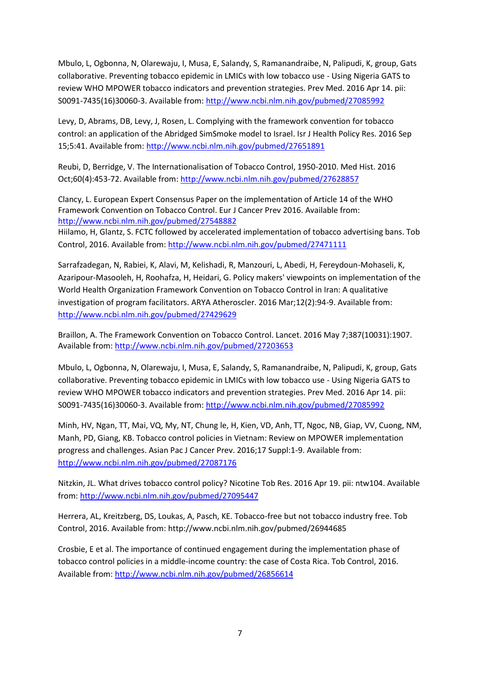Mbulo, L, Ogbonna, N, Olarewaju, I, Musa, E, Salandy, S, Ramanandraibe, N, Palipudi, K, group, Gats collaborative. Preventing tobacco epidemic in LMICs with low tobacco use - Using Nigeria GATS to review WHO MPOWER tobacco indicators and prevention strategies. Prev Med. 2016 Apr 14. pii: S0091-7435(16)30060-3. Available from:<http://www.ncbi.nlm.nih.gov/pubmed/27085992>

Levy, D, Abrams, DB, Levy, J, Rosen, L. Complying with the framework convention for tobacco control: an application of the Abridged SimSmoke model to Israel. Isr J Health Policy Res. 2016 Sep 15;5:41. Available from:<http://www.ncbi.nlm.nih.gov/pubmed/27651891>

Reubi, D, Berridge, V. The Internationalisation of Tobacco Control, 1950-2010. Med Hist. 2016 Oct;60(4):453-72. Available from:<http://www.ncbi.nlm.nih.gov/pubmed/27628857>

Clancy, L. European Expert Consensus Paper on the implementation of Article 14 of the WHO Framework Convention on Tobacco Control. Eur J Cancer Prev 2016. Available from: <http://www.ncbi.nlm.nih.gov/pubmed/27548882>

Hiilamo, H, Glantz, S. FCTC followed by accelerated implementation of tobacco advertising bans. Tob Control, 2016. Available from[: http://www.ncbi.nlm.nih.gov/pubmed/27471111](http://www.ncbi.nlm.nih.gov/pubmed/27471111)

Sarrafzadegan, N, Rabiei, K, Alavi, M, Kelishadi, R, Manzouri, L, Abedi, H, Fereydoun-Mohaseli, K, Azaripour-Masooleh, H, Roohafza, H, Heidari, G. Policy makers' viewpoints on implementation of the World Health Organization Framework Convention on Tobacco Control in Iran: A qualitative investigation of program facilitators. ARYA Atheroscler. 2016 Mar;12(2):94-9. Available from: <http://www.ncbi.nlm.nih.gov/pubmed/27429629>

Braillon, A. The Framework Convention on Tobacco Control. Lancet. 2016 May 7;387(10031):1907. Available from[: http://www.ncbi.nlm.nih.gov/pubmed/27203653](http://www.ncbi.nlm.nih.gov/pubmed/27203653)

Mbulo, L, Ogbonna, N, Olarewaju, I, Musa, E, Salandy, S, Ramanandraibe, N, Palipudi, K, group, Gats collaborative. Preventing tobacco epidemic in LMICs with low tobacco use - Using Nigeria GATS to review WHO MPOWER tobacco indicators and prevention strategies. Prev Med. 2016 Apr 14. pii: S0091-7435(16)30060-3. Available from:<http://www.ncbi.nlm.nih.gov/pubmed/27085992>

Minh, HV, Ngan, TT, Mai, VQ, My, NT, Chung le, H, Kien, VD, Anh, TT, Ngoc, NB, Giap, VV, Cuong, NM, Manh, PD, Giang, KB. Tobacco control policies in Vietnam: Review on MPOWER implementation progress and challenges. Asian Pac J Cancer Prev. 2016;17 Suppl:1-9. Available from: <http://www.ncbi.nlm.nih.gov/pubmed/27087176>

Nitzkin, JL. What drives tobacco control policy? Nicotine Tob Res. 2016 Apr 19. pii: ntw104. Available from:<http://www.ncbi.nlm.nih.gov/pubmed/27095447>

Herrera, AL, Kreitzberg, DS, Loukas, A, Pasch, KE. Tobacco-free but not tobacco industry free. Tob Control, 2016. Available from[: http://www.ncbi.nlm.nih.gov/pubmed/26944685](http://www.ncbi.nlm.nih.gov/pubmed/26944685)

Crosbie, E et al. The importance of continued engagement during the implementation phase of tobacco control policies in a middle-income country: the case of Costa Rica. Tob Control, 2016. Available from[: http://www.ncbi.nlm.nih.gov/pubmed/26856614](http://www.ncbi.nlm.nih.gov/pubmed/26856614)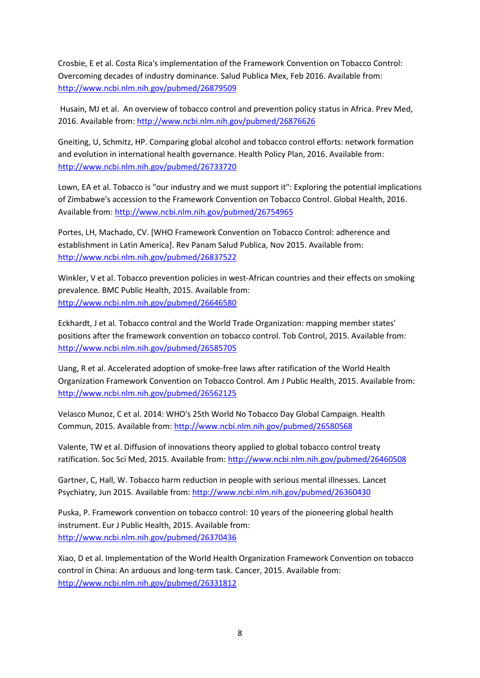Crosbie, E et al. Costa Rica's implementation of the Framework Convention on Tobacco Control: Overcoming decades of industry dominance. Salud Publica Mex, Feb 2016. Available from: <http://www.ncbi.nlm.nih.gov/pubmed/26879509>

Husain, MJ et al. An overview of tobacco control and prevention policy status in Africa. Prev Med, 2016. Available from:<http://www.ncbi.nlm.nih.gov/pubmed/26876626>

Gneiting, U, Schmitz, HP. Comparing global alcohol and tobacco control efforts: network formation and evolution in international health governance. Health Policy Plan, 2016. Available from: <http://www.ncbi.nlm.nih.gov/pubmed/26733720>

Lown, EA et al. Tobacco is "our industry and we must support it": Exploring the potential implications of Zimbabwe's accession to the Framework Convention on Tobacco Control. Global Health, 2016. Available from[: http://www.ncbi.nlm.nih.gov/pubmed/26754965](http://www.ncbi.nlm.nih.gov/pubmed/26754965)

Portes, LH, Machado, CV. [WHO Framework Convention on Tobacco Control: adherence and establishment in Latin America]. Rev Panam Salud Publica, Nov 2015. Available from: <http://www.ncbi.nlm.nih.gov/pubmed/26837522>

Winkler, V et al. Tobacco prevention policies in west-African countries and their effects on smoking prevalence. BMC Public Health, 2015. Available from: <http://www.ncbi.nlm.nih.gov/pubmed/26646580>

Eckhardt, J et al. Tobacco control and the World Trade Organization: mapping member states' positions after the framework convention on tobacco control. Tob Control, 2015. Available from: <http://www.ncbi.nlm.nih.gov/pubmed/26585705>

Uang, R et al. Accelerated adoption of smoke-free laws after ratification of the World Health Organization Framework Convention on Tobacco Control. Am J Public Health, 2015. Available from: <http://www.ncbi.nlm.nih.gov/pubmed/26562125>

Velasco Munoz, C et al. 2014: WHO's 25th World No Tobacco Day Global Campaign. Health Commun, 2015. Available from:<http://www.ncbi.nlm.nih.gov/pubmed/26580568>

Valente, TW et al. Diffusion of innovations theory applied to global tobacco control treaty ratification. Soc Sci Med, 2015. Available from[: http://www.ncbi.nlm.nih.gov/pubmed/26460508](http://www.ncbi.nlm.nih.gov/pubmed/26460508)

Gartner, C, Hall, W. Tobacco harm reduction in people with serious mental illnesses. Lancet Psychiatry, Jun 2015. Available from:<http://www.ncbi.nlm.nih.gov/pubmed/26360430>

Puska, P. Framework convention on tobacco control: 10 years of the pioneering global health instrument. Eur J Public Health, 2015. Available from: <http://www.ncbi.nlm.nih.gov/pubmed/26370436>

Xiao, D et al. Implementation of the World Health Organization Framework Convention on tobacco control in China: An arduous and long-term task. Cancer, 2015. Available from: <http://www.ncbi.nlm.nih.gov/pubmed/26331812>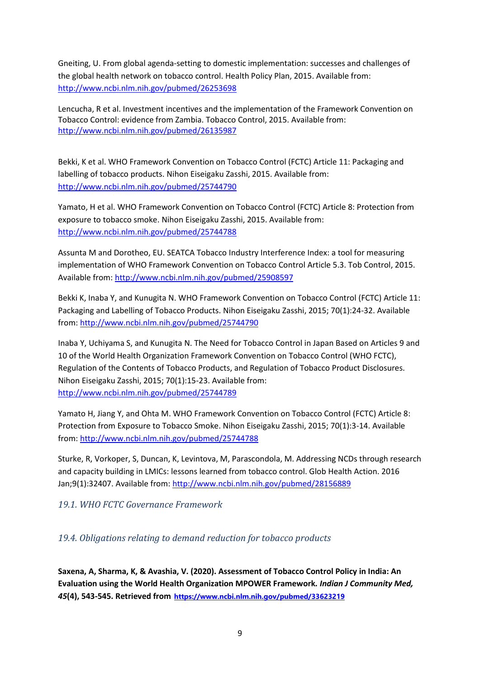Gneiting, U. From global agenda-setting to domestic implementation: successes and challenges of the global health network on tobacco control. Health Policy Plan, 2015. Available from: <http://www.ncbi.nlm.nih.gov/pubmed/26253698>

Lencucha, R et al. Investment incentives and the implementation of the Framework Convention on Tobacco Control: evidence from Zambia. Tobacco Control, 2015. Available from: <http://www.ncbi.nlm.nih.gov/pubmed/26135987>

Bekki, K et al. WHO Framework Convention on Tobacco Control (FCTC) Article 11: Packaging and labelling of tobacco products. Nihon Eiseigaku Zasshi, 2015. Available from: <http://www.ncbi.nlm.nih.gov/pubmed/25744790>

Yamato, H et al. WHO Framework Convention on Tobacco Control (FCTC) Article 8: Protection from exposure to tobacco smoke. Nihon Eiseigaku Zasshi, 2015. Available from: <http://www.ncbi.nlm.nih.gov/pubmed/25744788>

Assunta M and Dorotheo, EU. SEATCA Tobacco Industry Interference Index: a tool for measuring implementation of WHO Framework Convention on Tobacco Control Article 5.3. Tob Control, 2015. Available from[: http://www.ncbi.nlm.nih.gov/pubmed/25908597](http://www.ncbi.nlm.nih.gov/pubmed/25908597)

Bekki K, Inaba Y, and Kunugita N. WHO Framework Convention on Tobacco Control (FCTC) Article 11: Packaging and Labelling of Tobacco Products. Nihon Eiseigaku Zasshi, 2015; 70(1):24-32. Available from:<http://www.ncbi.nlm.nih.gov/pubmed/25744790>

Inaba Y, Uchiyama S, and Kunugita N. The Need for Tobacco Control in Japan Based on Articles 9 and 10 of the World Health Organization Framework Convention on Tobacco Control (WHO FCTC), Regulation of the Contents of Tobacco Products, and Regulation of Tobacco Product Disclosures. Nihon Eiseigaku Zasshi, 2015; 70(1):15-23. Available from: <http://www.ncbi.nlm.nih.gov/pubmed/25744789>

Yamato H, Jiang Y, and Ohta M. WHO Framework Convention on Tobacco Control (FCTC) Article 8: Protection from Exposure to Tobacco Smoke. Nihon Eiseigaku Zasshi, 2015; 70(1):3-14. Available from:<http://www.ncbi.nlm.nih.gov/pubmed/25744788>

Sturke, R, Vorkoper, S, Duncan, K, Levintova, M, Parascondola, M. Addressing NCDs through research and capacity building in LMICs: lessons learned from tobacco control. Glob Health Action. 2016 Jan;9(1):32407. Available from:<http://www.ncbi.nlm.nih.gov/pubmed/28156889>

<span id="page-8-0"></span>*19.1. WHO FCTC Governance Framework*

<span id="page-8-1"></span>*19.4. Obligations relating to demand reduction for tobacco products*

**Saxena, A, Sharma, K, & Avashia, V. (2020). Assessment of Tobacco Control Policy in India: An Evaluation using the World Health Organization MPOWER Framework.** *Indian J Community Med, 45***(4), 543-545. Retrieved from <https://www.ncbi.nlm.nih.gov/pubmed/33623219>**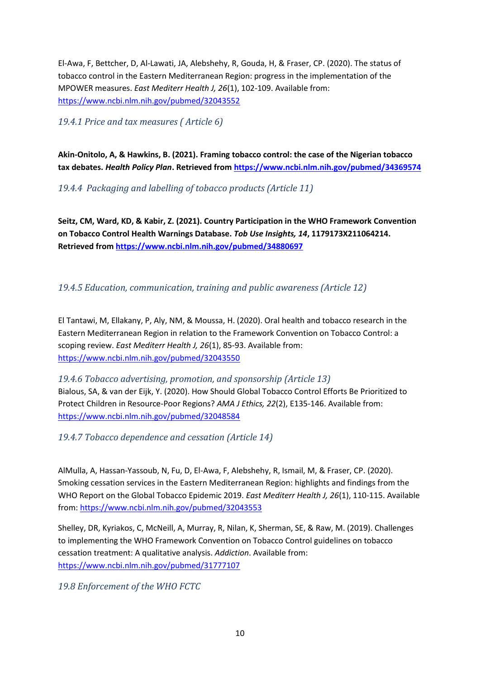El-Awa, F, Bettcher, D, Al-Lawati, JA, Alebshehy, R, Gouda, H, & Fraser, CP. (2020). The status of tobacco control in the Eastern Mediterranean Region: progress in the implementation of the MPOWER measures. *East Mediterr Health J, 26*(1), 102-109. Available from: <https://www.ncbi.nlm.nih.gov/pubmed/32043552>

<span id="page-9-0"></span>*19.4.1 Price and tax measures ( Article 6)*

**Akin-Onitolo, A, & Hawkins, B. (2021). Framing tobacco control: the case of the Nigerian tobacco tax debates.** *Health Policy Plan***. Retrieved from<https://www.ncbi.nlm.nih.gov/pubmed/34369574>**

<span id="page-9-1"></span>*19.4.4 Packaging and labelling of tobacco products (Article 11)*

**Seitz, CM, Ward, KD, & Kabir, Z. (2021). Country Participation in the WHO Framework Convention on Tobacco Control Health Warnings Database.** *Tob Use Insights, 14***, 1179173X211064214. Retrieved fro[m https://www.ncbi.nlm.nih.gov/pubmed/34880697](https://www.ncbi.nlm.nih.gov/pubmed/34880697)**

#### <span id="page-9-2"></span>*19.4.5 Education, communication, training and public awareness (Article 12)*

El Tantawi, M, Ellakany, P, Aly, NM, & Moussa, H. (2020). Oral health and tobacco research in the Eastern Mediterranean Region in relation to the Framework Convention on Tobacco Control: a scoping review. *East Mediterr Health J, 26*(1), 85-93. Available from: <https://www.ncbi.nlm.nih.gov/pubmed/32043550>

<span id="page-9-3"></span>*19.4.6 Tobacco advertising, promotion, and sponsorship (Article 13)* Bialous, SA, & van der Eijk, Y. (2020). How Should Global Tobacco Control Efforts Be Prioritized to Protect Children in Resource-Poor Regions? *AMA J Ethics, 22*(2), E135-146. Available from: <https://www.ncbi.nlm.nih.gov/pubmed/32048584>

<span id="page-9-4"></span>*19.4.7 Tobacco dependence and cessation (Article 14)*

AlMulla, A, Hassan-Yassoub, N, Fu, D, El-Awa, F, Alebshehy, R, Ismail, M, & Fraser, CP. (2020). Smoking cessation services in the Eastern Mediterranean Region: highlights and findings from the WHO Report on the Global Tobacco Epidemic 2019. *East Mediterr Health J, 26*(1), 110-115. Available from:<https://www.ncbi.nlm.nih.gov/pubmed/32043553>

Shelley, DR, Kyriakos, C, McNeill, A, Murray, R, Nilan, K, Sherman, SE, & Raw, M. (2019). Challenges to implementing the WHO Framework Convention on Tobacco Control guidelines on tobacco cessation treatment: A qualitative analysis. *Addiction*. Available from: <https://www.ncbi.nlm.nih.gov/pubmed/31777107>

<span id="page-9-5"></span>*19.8 Enforcement of the WHO FCTC*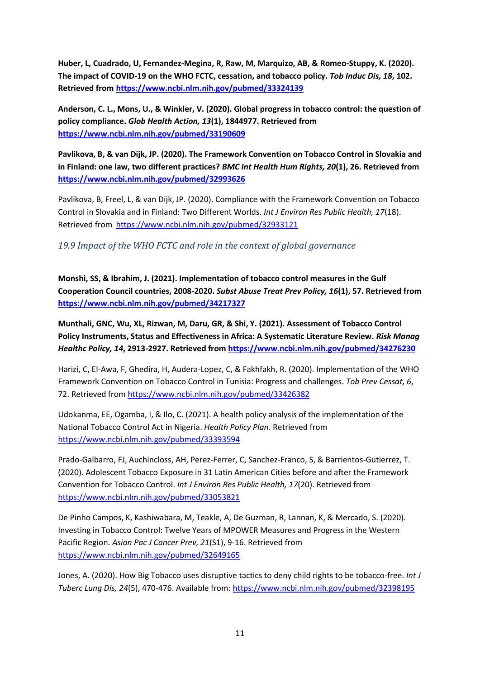**Huber, L, Cuadrado, U, Fernandez-Megina, R, Raw, M, Marquizo, AB, & Romeo-Stuppy, K. (2020). The impact of COVID-19 on the WHO FCTC, cessation, and tobacco policy.** *Tob Induc Dis, 18***, 102. Retrieved from<https://www.ncbi.nlm.nih.gov/pubmed/33324139>**

**Anderson, C. L., Mons, U., & Winkler, V. (2020). Global progress in tobacco control: the question of policy compliance.** *Glob Health Action, 13***(1), 1844977. Retrieved from <https://www.ncbi.nlm.nih.gov/pubmed/33190609>**

**Pavlikova, B, & van Dijk, JP. (2020). The Framework Convention on Tobacco Control in Slovakia and in Finland: one law, two different practices?** *BMC Int Health Hum Rights, 20***(1), 26. Retrieved from <https://www.ncbi.nlm.nih.gov/pubmed/32993626>**

Pavlikova, B, Freel, L, & van Dijk, JP. (2020). Compliance with the Framework Convention on Tobacco Control in Slovakia and in Finland: Two Different Worlds. *Int J Environ Res Public Health, 17*(18). Retrieved from <https://www.ncbi.nlm.nih.gov/pubmed/32933121>

<span id="page-10-0"></span>*19.9 Impact of the WHO FCTC and role in the context of global governance*

**Monshi, SS, & Ibrahim, J. (2021). Implementation of tobacco control measures in the Gulf Cooperation Council countries, 2008-2020.** *Subst Abuse Treat Prev Policy, 16***(1), 57. Retrieved from <https://www.ncbi.nlm.nih.gov/pubmed/34217327>**

**Munthali, GNC, Wu, XL, Rizwan, M, Daru, GR, & Shi, Y. (2021). Assessment of Tobacco Control Policy Instruments, Status and Effectiveness in Africa: A Systematic Literature Review.** *Risk Manag Healthc Policy, 14***, 2913-2927. Retrieved from<https://www.ncbi.nlm.nih.gov/pubmed/34276230>**

Harizi, C, El-Awa, F, Ghedira, H, Audera-Lopez, C, & Fakhfakh, R. (2020). Implementation of the WHO Framework Convention on Tobacco Control in Tunisia: Progress and challenges. *Tob Prev Cessat, 6*, 72. Retrieved from<https://www.ncbi.nlm.nih.gov/pubmed/33426382>

Udokanma, EE, Ogamba, I, & Ilo, C. (2021). A health policy analysis of the implementation of the National Tobacco Control Act in Nigeria. *Health Policy Plan*. Retrieved from <https://www.ncbi.nlm.nih.gov/pubmed/33393594>

Prado-Galbarro, FJ, Auchincloss, AH, Perez-Ferrer, C, Sanchez-Franco, S, & Barrientos-Gutierrez, T. (2020). Adolescent Tobacco Exposure in 31 Latin American Cities before and after the Framework Convention for Tobacco Control. *Int J Environ Res Public Health, 17*(20). Retrieved from <https://www.ncbi.nlm.nih.gov/pubmed/33053821>

De Pinho Campos, K, Kashiwabara, M, Teakle, A, De Guzman, R, Lannan, K, & Mercado, S. (2020). Investing in Tobacco Control: Twelve Years of MPOWER Measures and Progress in the Western Pacific Region. *Asian Pac J Cancer Prev, 21*(S1), 9-16. Retrieved from <https://www.ncbi.nlm.nih.gov/pubmed/32649165>

Jones, A. (2020). How Big Tobacco uses disruptive tactics to deny child rights to be tobacco-free. *Int J Tuberc Lung Dis, 24*(5), 470-476. Available from[: https://www.ncbi.nlm.nih.gov/pubmed/32398195](https://www.ncbi.nlm.nih.gov/pubmed/32398195)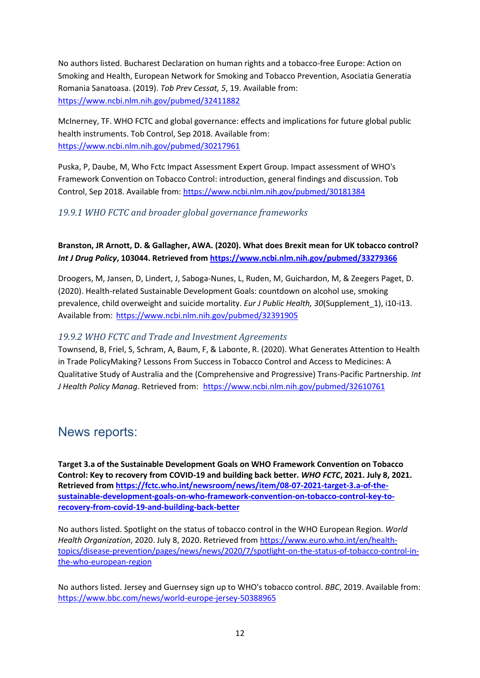No authors listed. Bucharest Declaration on human rights and a tobacco-free Europe: Action on Smoking and Health, European Network for Smoking and Tobacco Prevention, Asociatia Generatia Romania Sanatoasa. (2019). *Tob Prev Cessat, 5*, 19. Available from: <https://www.ncbi.nlm.nih.gov/pubmed/32411882>

McInerney, TF. WHO FCTC and global governance: effects and implications for future global public health instruments. Tob Control, Sep 2018. Available from: <https://www.ncbi.nlm.nih.gov/pubmed/30217961>

Puska, P, Daube, M, Who Fctc Impact Assessment Expert Group. Impact assessment of WHO's Framework Convention on Tobacco Control: introduction, general findings and discussion. Tob Control, Sep 2018. Available from:<https://www.ncbi.nlm.nih.gov/pubmed/30181384>

#### <span id="page-11-0"></span>*19.9.1 WHO FCTC and broader global governance frameworks*

**Branston, JR Arnott, D. & Gallagher, AWA. (2020). What does Brexit mean for UK tobacco control?**  *Int J Drug Policy***, 103044. Retrieved fro[m https://www.ncbi.nlm.nih.gov/pubmed/33279366](https://www.ncbi.nlm.nih.gov/pubmed/33279366)**

Droogers, M, Jansen, D, Lindert, J, Saboga-Nunes, L, Ruden, M, Guichardon, M, & Zeegers Paget, D. (2020). Health-related Sustainable Development Goals: countdown on alcohol use, smoking prevalence, child overweight and suicide mortality. *Eur J Public Health, 30*(Supplement\_1), i10-i13. Available from:<https://www.ncbi.nlm.nih.gov/pubmed/32391905>

#### <span id="page-11-1"></span>*19.9.2 WHO FCTC and Trade and Investment Agreements*

Townsend, B, Friel, S, Schram, A, Baum, F, & Labonte, R. (2020). What Generates Attention to Health in Trade PolicyMaking? Lessons From Success in Tobacco Control and Access to Medicines: A Qualitative Study of Australia and the (Comprehensive and Progressive) Trans-Pacific Partnership. *Int J Health Policy Manag*. Retrieved from: <https://www.ncbi.nlm.nih.gov/pubmed/32610761>

#### <span id="page-11-2"></span>News reports:

**Target 3.a of the Sustainable Development Goals on WHO Framework Convention on Tobacco Control: Key to recovery from COVID-19 and building back better.** *WHO FCTC***, 2021. July 8, 2021. Retrieved fro[m https://fctc.who.int/newsroom/news/item/08-07-2021-target-3.a-of-the](https://fctc.who.int/newsroom/news/item/08-07-2021-target-3.a-of-the-sustainable-development-goals-on-who-framework-convention-on-tobacco-control-key-to-recovery-from-covid-19-and-building-back-better)[sustainable-development-goals-on-who-framework-convention-on-tobacco-control-key-to](https://fctc.who.int/newsroom/news/item/08-07-2021-target-3.a-of-the-sustainable-development-goals-on-who-framework-convention-on-tobacco-control-key-to-recovery-from-covid-19-and-building-back-better)[recovery-from-covid-19-and-building-back-better](https://fctc.who.int/newsroom/news/item/08-07-2021-target-3.a-of-the-sustainable-development-goals-on-who-framework-convention-on-tobacco-control-key-to-recovery-from-covid-19-and-building-back-better)**

No authors listed. Spotlight on the status of tobacco control in the WHO European Region. *World Health Organization*, 2020. July 8, 2020. Retrieved from [https://www.euro.who.int/en/health](https://www.euro.who.int/en/health-topics/disease-prevention/pages/news/news/2020/7/spotlight-on-the-status-of-tobacco-control-in-the-who-european-region)[topics/disease-prevention/pages/news/news/2020/7/spotlight-on-the-status-of-tobacco-control-in](https://www.euro.who.int/en/health-topics/disease-prevention/pages/news/news/2020/7/spotlight-on-the-status-of-tobacco-control-in-the-who-european-region)[the-who-european-region](https://www.euro.who.int/en/health-topics/disease-prevention/pages/news/news/2020/7/spotlight-on-the-status-of-tobacco-control-in-the-who-european-region)

No authors listed. Jersey and Guernsey sign up to WHO's tobacco control. *BBC*, 2019. Available from: <https://www.bbc.com/news/world-europe-jersey-50388965>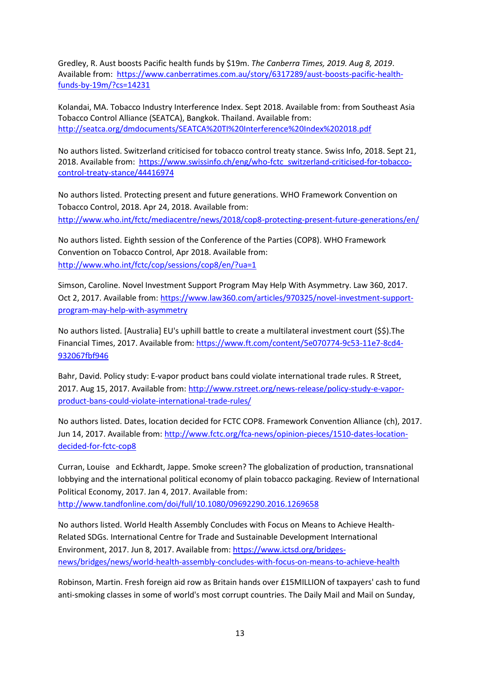Gredley, R. Aust boosts Pacific health funds by \$19m. *The Canberra Times, 2019. Aug 8, 2019*. Available from: [https://www.canberratimes.com.au/story/6317289/aust-boosts-pacific-health](https://www.canberratimes.com.au/story/6317289/aust-boosts-pacific-health-funds-by-19m/?cs=14231)[funds-by-19m/?cs=14231](https://www.canberratimes.com.au/story/6317289/aust-boosts-pacific-health-funds-by-19m/?cs=14231)

Kolandai, MA. Tobacco Industry Interference Index. Sept 2018. Available from: from Southeast Asia Tobacco Control Alliance (SEATCA), Bangkok. Thailand. Available from: <http://seatca.org/dmdocuments/SEATCA%20TI%20Interference%20Index%202018.pdf>

No authors listed. Switzerland criticised for tobacco control treaty stance. Swiss Info, 2018. Sept 21, 2018. Available from: [https://www.swissinfo.ch/eng/who-fctc\\_switzerland-criticised-for-tobacco](https://www.swissinfo.ch/eng/who-fctc_switzerland-criticised-for-tobacco-control-treaty-stance/44416974)[control-treaty-stance/44416974](https://www.swissinfo.ch/eng/who-fctc_switzerland-criticised-for-tobacco-control-treaty-stance/44416974)

No authors listed. Protecting present and future generations. WHO Framework Convention on Tobacco Control, 2018. Apr 24, 2018. Available from: <http://www.who.int/fctc/mediacentre/news/2018/cop8-protecting-present-future-generations/en/>

No authors listed. Eighth session of the Conference of the Parties (COP8). WHO Framework Convention on Tobacco Control, Apr 2018. Available from: <http://www.who.int/fctc/cop/sessions/cop8/en/?ua=1>

Simson, Caroline. Novel Investment Support Program May Help With Asymmetry. Law 360, 2017. Oct 2, 2017. Available from: [https://www.law360.com/articles/970325/novel-investment-support](https://www.law360.com/articles/970325/novel-investment-support-program-may-help-with-asymmetry)[program-may-help-with-asymmetry](https://www.law360.com/articles/970325/novel-investment-support-program-may-help-with-asymmetry)

No authors listed. [Australia] EU's uphill battle to create a multilateral investment court (\$\$).The Financial Times, 2017. Available from[: https://www.ft.com/content/5e070774-9c53-11e7-8cd4-](https://www.ft.com/content/5e070774-9c53-11e7-8cd4-932067fbf946) [932067fbf946](https://www.ft.com/content/5e070774-9c53-11e7-8cd4-932067fbf946)

Bahr, David. Policy study: E-vapor product bans could violate international trade rules. R Street, 2017. Aug 15, 2017. Available from[: http://www.rstreet.org/news-release/policy-study-e-vapor](http://www.rstreet.org/news-release/policy-study-e-vapor-product-bans-could-violate-international-trade-rules/)[product-bans-could-violate-international-trade-rules/](http://www.rstreet.org/news-release/policy-study-e-vapor-product-bans-could-violate-international-trade-rules/)

No authors listed. Dates, location decided for FCTC COP8. Framework Convention Alliance (ch), 2017. Jun 14, 2017. Available from: [http://www.fctc.org/fca-news/opinion-pieces/1510-dates-location](http://www.fctc.org/fca-news/opinion-pieces/1510-dates-location-decided-for-fctc-cop8)[decided-for-fctc-cop8](http://www.fctc.org/fca-news/opinion-pieces/1510-dates-location-decided-for-fctc-cop8)

Curran, Louise and Eckhardt, Jappe. Smoke screen? The globalization of production, transnational lobbying and the international political economy of plain tobacco packaging. Review of International Political Economy, 2017. Jan 4, 2017. Available from:

<http://www.tandfonline.com/doi/full/10.1080/09692290.2016.1269658>

No authors listed. World Health Assembly Concludes with Focus on Means to Achieve Health-Related SDGs. International Centre for Trade and Sustainable Development International Environment, 2017. Jun 8, 2017. Available from: [https://www.ictsd.org/bridges](https://www.ictsd.org/bridges-news/bridges/news/world-health-assembly-concludes-with-focus-on-means-to-achieve-health)[news/bridges/news/world-health-assembly-concludes-with-focus-on-means-to-achieve-health](https://www.ictsd.org/bridges-news/bridges/news/world-health-assembly-concludes-with-focus-on-means-to-achieve-health)

Robinson, Martin. Fresh foreign aid row as Britain hands over £15MILLION of taxpayers' cash to fund anti-smoking classes in some of world's most corrupt countries. The Daily Mail and Mail on Sunday,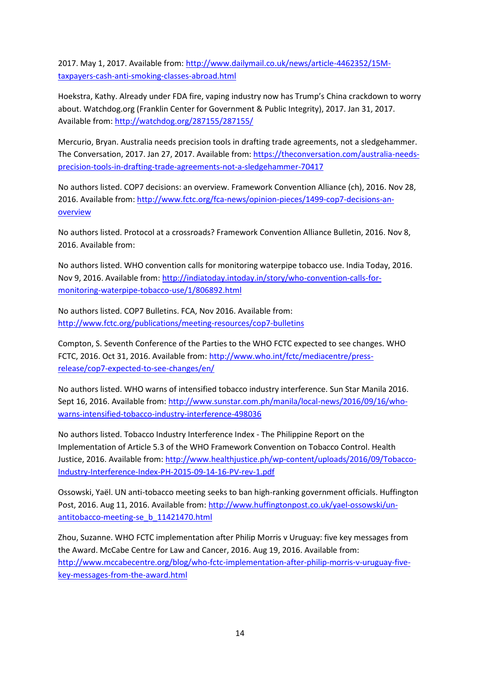2017. May 1, 2017. Available from[: http://www.dailymail.co.uk/news/article-4462352/15M](http://www.dailymail.co.uk/news/article-4462352/15M-taxpayers-cash-anti-smoking-classes-abroad.html)[taxpayers-cash-anti-smoking-classes-abroad.html](http://www.dailymail.co.uk/news/article-4462352/15M-taxpayers-cash-anti-smoking-classes-abroad.html)

Hoekstra, Kathy. Already under FDA fire, vaping industry now has Trump's China crackdown to worry about. Watchdog.org (Franklin Center for Government & Public Integrity), 2017. Jan 31, 2017. Available from[: http://watchdog.org/287155/287155/](http://watchdog.org/287155/287155/)

Mercurio, Bryan. Australia needs precision tools in drafting trade agreements, not a sledgehammer. The Conversation, 2017. Jan 27, 2017. Available from: [https://theconversation.com/australia-needs](https://theconversation.com/australia-needs-precision-tools-in-drafting-trade-agreements-not-a-sledgehammer-70417)[precision-tools-in-drafting-trade-agreements-not-a-sledgehammer-70417](https://theconversation.com/australia-needs-precision-tools-in-drafting-trade-agreements-not-a-sledgehammer-70417)

No authors listed. COP7 decisions: an overview. Framework Convention Alliance (ch), 2016. Nov 28, 2016. Available from: [http://www.fctc.org/fca-news/opinion-pieces/1499-cop7-decisions-an](http://www.fctc.org/fca-news/opinion-pieces/1499-cop7-decisions-an-overview)[overview](http://www.fctc.org/fca-news/opinion-pieces/1499-cop7-decisions-an-overview)

No authors listed. Protocol at a crossroads? Framework Convention Alliance Bulletin, 2016. Nov 8, 2016. Available from:

No authors listed. WHO convention calls for monitoring waterpipe tobacco use. India Today, 2016. Nov 9, 2016. Available from: [http://indiatoday.intoday.in/story/who-convention-calls-for](http://indiatoday.intoday.in/story/who-convention-calls-for-monitoring-waterpipe-tobacco-use/1/806892.html)[monitoring-waterpipe-tobacco-use/1/806892.html](http://indiatoday.intoday.in/story/who-convention-calls-for-monitoring-waterpipe-tobacco-use/1/806892.html)

No authors listed. COP7 Bulletins. FCA, Nov 2016. Available from: <http://www.fctc.org/publications/meeting-resources/cop7-bulletins>

Compton, S. Seventh Conference of the Parties to the WHO FCTC expected to see changes. WHO FCTC, 2016. Oct 31, 2016. Available from: [http://www.who.int/fctc/mediacentre/press](http://www.who.int/fctc/mediacentre/press-release/cop7-expected-to-see-changes/en/)[release/cop7-expected-to-see-changes/en/](http://www.who.int/fctc/mediacentre/press-release/cop7-expected-to-see-changes/en/)

No authors listed. WHO warns of intensified tobacco industry interference. Sun Star Manila 2016. Sept 16, 2016. Available from: [http://www.sunstar.com.ph/manila/local-news/2016/09/16/who](http://www.sunstar.com.ph/manila/local-news/2016/09/16/who-warns-intensified-tobacco-industry-interference-498036)[warns-intensified-tobacco-industry-interference-498036](http://www.sunstar.com.ph/manila/local-news/2016/09/16/who-warns-intensified-tobacco-industry-interference-498036)

No authors listed. Tobacco Industry Interference Index - The Philippine Report on the Implementation of Article 5.3 of the WHO Framework Convention on Tobacco Control. Health Justice, 2016. Available from: [http://www.healthjustice.ph/wp-content/uploads/2016/09/Tobacco-](http://www.healthjustice.ph/wp-content/uploads/2016/09/Tobacco-Industry-Interference-Index-PH-2015-09-14-16-PV-rev-1.pdf)[Industry-Interference-Index-PH-2015-09-14-16-PV-rev-1.pdf](http://www.healthjustice.ph/wp-content/uploads/2016/09/Tobacco-Industry-Interference-Index-PH-2015-09-14-16-PV-rev-1.pdf)

Ossowski, Yaël. UN anti-tobacco meeting seeks to ban high-ranking government officials. Huffington Post, 2016. Aug 11, 2016. Available from: [http://www.huffingtonpost.co.uk/yael-ossowski/un](http://www.huffingtonpost.co.uk/yael-ossowski/un-antitobacco-meeting-se_b_11421470.html)[antitobacco-meeting-se\\_b\\_11421470.html](http://www.huffingtonpost.co.uk/yael-ossowski/un-antitobacco-meeting-se_b_11421470.html)

Zhou, Suzanne. WHO FCTC implementation after Philip Morris v Uruguay: five key messages from the Award. McCabe Centre for Law and Cancer, 2016. Aug 19, 2016. Available from: [http://www.mccabecentre.org/blog/who-fctc-implementation-after-philip-morris-v-uruguay-five](http://www.mccabecentre.org/blog/who-fctc-implementation-after-philip-morris-v-uruguay-five-key-messages-from-the-award.html)[key-messages-from-the-award.html](http://www.mccabecentre.org/blog/who-fctc-implementation-after-philip-morris-v-uruguay-five-key-messages-from-the-award.html)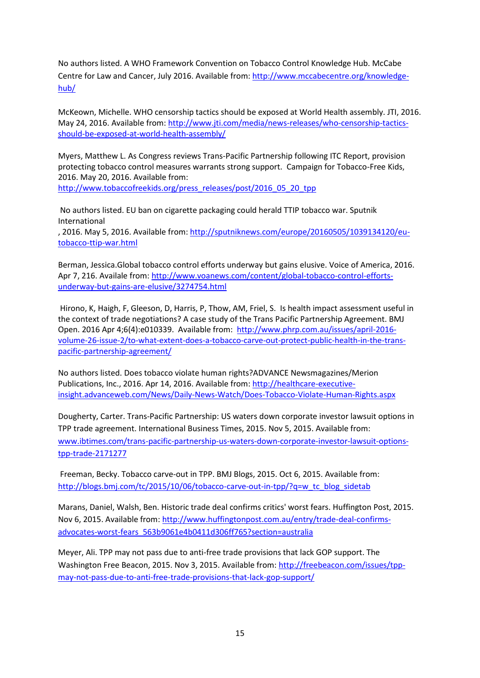No authors listed. A WHO Framework Convention on Tobacco Control Knowledge Hub. McCabe Centre for Law and Cancer, July 2016. Available from: [http://www.mccabecentre.org/knowledge](http://www.mccabecentre.org/knowledge-hub/)[hub/](http://www.mccabecentre.org/knowledge-hub/)

McKeown, Michelle. WHO censorship tactics should be exposed at World Health assembly. JTI, 2016. May 24, 2016. Available from[: http://www.jti.com/media/news-releases/who-censorship-tactics](http://www.jti.com/media/news-releases/who-censorship-tactics-should-be-exposed-at-world-health-assembly/)[should-be-exposed-at-world-health-assembly/](http://www.jti.com/media/news-releases/who-censorship-tactics-should-be-exposed-at-world-health-assembly/)

Myers, Matthew L. As Congress reviews Trans-Pacific Partnership following ITC Report, provision protecting tobacco control measures warrants strong support. Campaign for Tobacco-Free Kids, 2016. May 20, 2016. Available from:

[http://www.tobaccofreekids.org/press\\_releases/post/2016\\_05\\_20\\_tpp](http://www.tobaccofreekids.org/press_releases/post/2016_05_20_tpp)

No authors listed. EU ban on cigarette packaging could herald TTIP tobacco war. Sputnik International

, 2016. May 5, 2016. Available from[: http://sputniknews.com/europe/20160505/1039134120/eu](http://sputniknews.com/europe/20160505/1039134120/eu-tobacco-ttip-war.html)[tobacco-ttip-war.html](http://sputniknews.com/europe/20160505/1039134120/eu-tobacco-ttip-war.html)

Berman, Jessica.Global tobacco control efforts underway but gains elusive. Voice of America, 2016. Apr 7, 216. Availale from: [http://www.voanews.com/content/global-tobacco-control-efforts](http://www.voanews.com/content/global-tobacco-control-efforts-underway-but-gains-are-elusive/3274754.html)[underway-but-gains-are-elusive/3274754.html](http://www.voanews.com/content/global-tobacco-control-efforts-underway-but-gains-are-elusive/3274754.html)

Hirono, K, Haigh, F, Gleeson, D, Harris, P, Thow, AM, Friel, S. Is health impact assessment useful in the context of trade negotiations? A case study of the Trans Pacific Partnership Agreement. BMJ Open. 2016 Apr 4;6(4):e010339. Available from: [http://www.phrp.com.au/issues/april-2016](http://www.phrp.com.au/issues/april-2016-volume-26-issue-2/to-what-extent-does-a-tobacco-carve-out-protect-public-health-in-the-trans-pacific-partnership-agreement/) [volume-26-issue-2/to-what-extent-does-a-tobacco-carve-out-protect-public-health-in-the-trans](http://www.phrp.com.au/issues/april-2016-volume-26-issue-2/to-what-extent-does-a-tobacco-carve-out-protect-public-health-in-the-trans-pacific-partnership-agreement/)[pacific-partnership-agreement/](http://www.phrp.com.au/issues/april-2016-volume-26-issue-2/to-what-extent-does-a-tobacco-carve-out-protect-public-health-in-the-trans-pacific-partnership-agreement/)

No authors listed. Does tobacco violate human rights?ADVANCE Newsmagazines/Merion Publications, Inc., 2016. Apr 14, 2016. Available from: [http://healthcare-executive](http://healthcare-executive-insight.advanceweb.com/News/Daily-News-Watch/Does-Tobacco-Violate-Human-Rights.aspx)[insight.advanceweb.com/News/Daily-News-Watch/Does-Tobacco-Violate-Human-Rights.aspx](http://healthcare-executive-insight.advanceweb.com/News/Daily-News-Watch/Does-Tobacco-Violate-Human-Rights.aspx)

Dougherty, Carter. Trans-Pacific Partnership: US waters down corporate investor lawsuit options in TPP trade agreement. International Business Times, 2015. Nov 5, 2015. Available from: [www.ibtimes.com/trans-pacific-partnership-us-waters-down-corporate-investor-lawsuit-options](http://www.ibtimes.com/trans-pacific-partnership-us-waters-down-corporate-investor-lawsuit-options-tpp-trade-2171277)[tpp-trade-2171277](http://www.ibtimes.com/trans-pacific-partnership-us-waters-down-corporate-investor-lawsuit-options-tpp-trade-2171277)

Freeman, Becky. Tobacco carve-out in TPP. BMJ Blogs, 2015. Oct 6, 2015. Available from: [http://blogs.bmj.com/tc/2015/10/06/tobacco-carve-out-in-tpp/?q=w\\_tc\\_blog\\_sidetab](http://blogs.bmj.com/tc/2015/10/06/tobacco-carve-out-in-tpp/?q=w_tc_blog_sidetab)

Marans, Daniel, Walsh, Ben. Historic trade deal confirms critics' worst fears. Huffington Post, 2015. Nov 6, 2015. Available from: [http://www.huffingtonpost.com.au/entry/trade-deal-confirms](http://www.huffingtonpost.com.au/entry/trade-deal-confirms-advocates-worst-fears_563b9061e4b0411d306ff765?section=australia)[advocates-worst-fears\\_563b9061e4b0411d306ff765?section=australia](http://www.huffingtonpost.com.au/entry/trade-deal-confirms-advocates-worst-fears_563b9061e4b0411d306ff765?section=australia)

Meyer, Ali. TPP may not pass due to anti-free trade provisions that lack GOP support. The Washington Free Beacon, 2015. Nov 3, 2015. Available from[: http://freebeacon.com/issues/tpp](http://freebeacon.com/issues/tpp-may-not-pass-due-to-anti-free-trade-provisions-that-lack-gop-support/)[may-not-pass-due-to-anti-free-trade-provisions-that-lack-gop-support/](http://freebeacon.com/issues/tpp-may-not-pass-due-to-anti-free-trade-provisions-that-lack-gop-support/)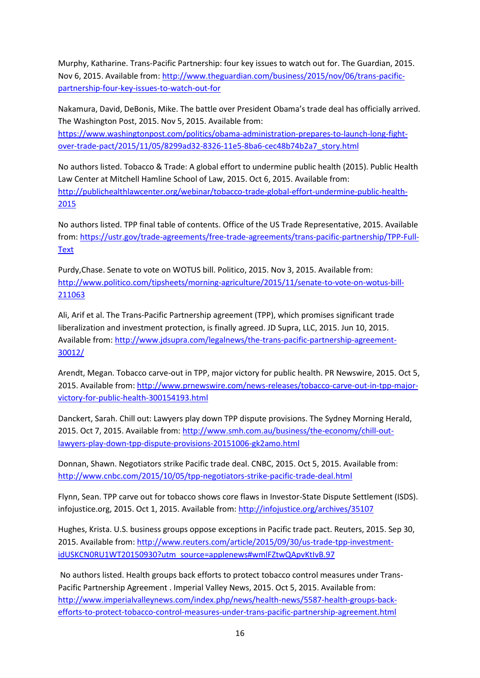Murphy, Katharine. Trans-Pacific Partnership: four key issues to watch out for. The Guardian, 2015. Nov 6, 2015. Available from: [http://www.theguardian.com/business/2015/nov/06/trans-pacific](http://www.theguardian.com/business/2015/nov/06/trans-pacific-partnership-four-key-issues-to-watch-out-for)[partnership-four-key-issues-to-watch-out-for](http://www.theguardian.com/business/2015/nov/06/trans-pacific-partnership-four-key-issues-to-watch-out-for)

Nakamura, David, DeBonis, Mike. The battle over President Obama's trade deal has officially arrived. The Washington Post, 2015. Nov 5, 2015. Available from:

[https://www.washingtonpost.com/politics/obama-administration-prepares-to-launch-long-fight](https://www.washingtonpost.com/politics/obama-administration-prepares-to-launch-long-fight-over-trade-pact/2015/11/05/8299ad32-8326-11e5-8ba6-cec48b74b2a7_story.html)[over-trade-pact/2015/11/05/8299ad32-8326-11e5-8ba6-cec48b74b2a7\\_story.html](https://www.washingtonpost.com/politics/obama-administration-prepares-to-launch-long-fight-over-trade-pact/2015/11/05/8299ad32-8326-11e5-8ba6-cec48b74b2a7_story.html)

No authors listed. Tobacco & Trade: A global effort to undermine public health (2015). Public Health Law Center at Mitchell Hamline School of Law, 2015. Oct 6, 2015. Available from: [http://publichealthlawcenter.org/webinar/tobacco-trade-global-effort-undermine-public-health-](http://publichealthlawcenter.org/webinar/tobacco-trade-global-effort-undermine-public-health-2015)[2015](http://publichealthlawcenter.org/webinar/tobacco-trade-global-effort-undermine-public-health-2015)

No authors listed. TPP final table of contents. Office of the US Trade Representative, 2015. Available from: [https://ustr.gov/trade-agreements/free-trade-agreements/trans-pacific-partnership/TPP-Full-](https://ustr.gov/trade-agreements/free-trade-agreements/trans-pacific-partnership/TPP-Full-Text)**[Text](https://ustr.gov/trade-agreements/free-trade-agreements/trans-pacific-partnership/TPP-Full-Text)** 

Purdy,Chase. Senate to vote on WOTUS bill. Politico, 2015. Nov 3, 2015. Available from: [http://www.politico.com/tipsheets/morning-agriculture/2015/11/senate-to-vote-on-wotus-bill-](http://www.politico.com/tipsheets/morning-agriculture/2015/11/senate-to-vote-on-wotus-bill-211063)[211063](http://www.politico.com/tipsheets/morning-agriculture/2015/11/senate-to-vote-on-wotus-bill-211063)

Ali, Arif et al. The Trans-Pacific Partnership agreement (TPP), which promises significant trade liberalization and investment protection, is finally agreed. JD Supra, LLC, 2015. Jun 10, 2015. Available from[: http://www.jdsupra.com/legalnews/the-trans-pacific-partnership-agreement-](http://www.jdsupra.com/legalnews/the-trans-pacific-partnership-agreement-30012/)[30012/](http://www.jdsupra.com/legalnews/the-trans-pacific-partnership-agreement-30012/)

Arendt, Megan. Tobacco carve-out in TPP, major victory for public health. PR Newswire, 2015. Oct 5, 2015. Available from: [http://www.prnewswire.com/news-releases/tobacco-carve-out-in-tpp-major](http://www.prnewswire.com/news-releases/tobacco-carve-out-in-tpp-major-victory-for-public-health-300154193.html)[victory-for-public-health-300154193.html](http://www.prnewswire.com/news-releases/tobacco-carve-out-in-tpp-major-victory-for-public-health-300154193.html)

Danckert, Sarah. Chill out: Lawyers play down TPP dispute provisions. The Sydney Morning Herald, 2015. Oct 7, 2015. Available from: [http://www.smh.com.au/business/the-economy/chill-out](http://www.smh.com.au/business/the-economy/chill-out-lawyers-play-down-tpp-dispute-provisions-20151006-gk2amo.html)[lawyers-play-down-tpp-dispute-provisions-20151006-gk2amo.html](http://www.smh.com.au/business/the-economy/chill-out-lawyers-play-down-tpp-dispute-provisions-20151006-gk2amo.html)

Donnan, Shawn. Negotiators strike Pacific trade deal. CNBC, 2015. Oct 5, 2015. Available from: <http://www.cnbc.com/2015/10/05/tpp-negotiators-strike-pacific-trade-deal.html>

Flynn, Sean. TPP carve out for tobacco shows core flaws in Investor-State Dispute Settlement (ISDS). infojustice.org, 2015. Oct 1, 2015. Available from:<http://infojustice.org/archives/35107>

Hughes, Krista. U.S. business groups oppose exceptions in Pacific trade pact. Reuters, 2015. Sep 30, 2015. Available from: [http://www.reuters.com/article/2015/09/30/us-trade-tpp-investment](http://www.reuters.com/article/2015/09/30/us-trade-tpp-investment-idUSKCN0RU1WT20150930?utm_source=applenews#wmlFZtwQApvKtIvB.97)[idUSKCN0RU1WT20150930?utm\\_source=applenews#wmlFZtwQApvKtIvB.97](http://www.reuters.com/article/2015/09/30/us-trade-tpp-investment-idUSKCN0RU1WT20150930?utm_source=applenews#wmlFZtwQApvKtIvB.97)

No authors listed. Health groups back efforts to protect tobacco control measures under Trans-Pacific Partnership Agreement . Imperial Valley News, 2015. Oct 5, 2015. Available from: [http://www.imperialvalleynews.com/index.php/news/health-news/5587-health-groups-back](http://www.imperialvalleynews.com/index.php/news/health-news/5587-health-groups-back-efforts-to-protect-tobacco-control-measures-under-trans-pacific-partnership-agreement.html)[efforts-to-protect-tobacco-control-measures-under-trans-pacific-partnership-agreement.html](http://www.imperialvalleynews.com/index.php/news/health-news/5587-health-groups-back-efforts-to-protect-tobacco-control-measures-under-trans-pacific-partnership-agreement.html)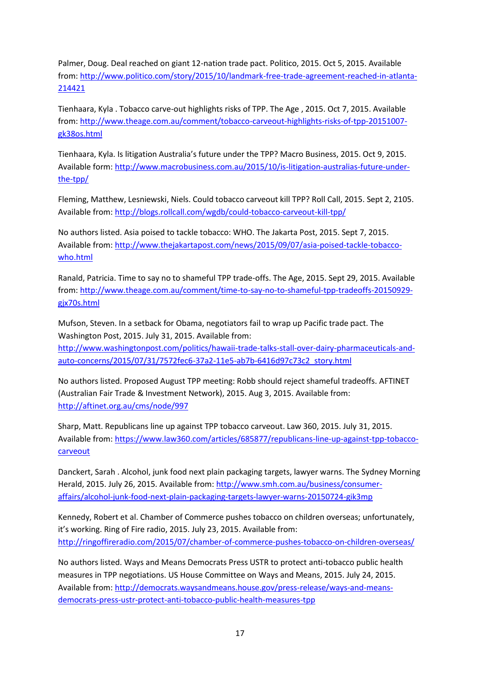Palmer, Doug. Deal reached on giant 12-nation trade pact. Politico, 2015. Oct 5, 2015. Available from: [http://www.politico.com/story/2015/10/landmark-free-trade-agreement-reached-in-atlanta-](http://www.politico.com/story/2015/10/landmark-free-trade-agreement-reached-in-atlanta-214421)[214421](http://www.politico.com/story/2015/10/landmark-free-trade-agreement-reached-in-atlanta-214421)

Tienhaara, Kyla . Tobacco carve-out highlights risks of TPP. The Age , 2015. Oct 7, 2015. Available from: [http://www.theage.com.au/comment/tobacco-carveout-highlights-risks-of-tpp-20151007](http://www.theage.com.au/comment/tobacco-carveout-highlights-risks-of-tpp-20151007-gk38os.html) [gk38os.html](http://www.theage.com.au/comment/tobacco-carveout-highlights-risks-of-tpp-20151007-gk38os.html)

Tienhaara, Kyla. Is litigation Australia's future under the TPP? Macro Business, 2015. Oct 9, 2015. Available form[: http://www.macrobusiness.com.au/2015/10/is-litigation-australias-future-under](http://www.macrobusiness.com.au/2015/10/is-litigation-australias-future-under-the-tpp/)[the-tpp/](http://www.macrobusiness.com.au/2015/10/is-litigation-australias-future-under-the-tpp/)

Fleming, Matthew, Lesniewski, Niels. Could tobacco carveout kill TPP? Roll Call, 2015. Sept 2, 2105. Available from[: http://blogs.rollcall.com/wgdb/could-tobacco-carveout-kill-tpp/](http://blogs.rollcall.com/wgdb/could-tobacco-carveout-kill-tpp/)

No authors listed. Asia poised to tackle tobacco: WHO. The Jakarta Post, 2015. Sept 7, 2015. Available from[: http://www.thejakartapost.com/news/2015/09/07/asia-poised-tackle-tobacco](http://www.thejakartapost.com/news/2015/09/07/asia-poised-tackle-tobacco-who.html)[who.html](http://www.thejakartapost.com/news/2015/09/07/asia-poised-tackle-tobacco-who.html)

Ranald, Patricia. Time to say no to shameful TPP trade-offs. The Age, 2015. Sept 29, 2015. Available from: [http://www.theage.com.au/comment/time-to-say-no-to-shameful-tpp-tradeoffs-20150929](http://www.theage.com.au/comment/time-to-say-no-to-shameful-tpp-tradeoffs-20150929-gjx70s.html) [gjx70s.html](http://www.theage.com.au/comment/time-to-say-no-to-shameful-tpp-tradeoffs-20150929-gjx70s.html)

Mufson, Steven. In a setback for Obama, negotiators fail to wrap up Pacific trade pact. The Washington Post, 2015. July 31, 2015. Available from: [http://www.washingtonpost.com/politics/hawaii-trade-talks-stall-over-dairy-pharmaceuticals-and](http://www.washingtonpost.com/politics/hawaii-trade-talks-stall-over-dairy-pharmaceuticals-and-auto-concerns/2015/07/31/7572fec6-37a2-11e5-ab7b-6416d97c73c2_story.html)[auto-concerns/2015/07/31/7572fec6-37a2-11e5-ab7b-6416d97c73c2\\_story.html](http://www.washingtonpost.com/politics/hawaii-trade-talks-stall-over-dairy-pharmaceuticals-and-auto-concerns/2015/07/31/7572fec6-37a2-11e5-ab7b-6416d97c73c2_story.html)

No authors listed. Proposed August TPP meeting: Robb should reject shameful tradeoffs. AFTINET (Australian Fair Trade & Investment Network), 2015. Aug 3, 2015. Available from: <http://aftinet.org.au/cms/node/997>

Sharp, Matt. Republicans line up against TPP tobacco carveout. Law 360, 2015. July 31, 2015. Available from[: https://www.law360.com/articles/685877/republicans-line-up-against-tpp-tobacco](https://www.law360.com/articles/685877/republicans-line-up-against-tpp-tobacco-carveout)[carveout](https://www.law360.com/articles/685877/republicans-line-up-against-tpp-tobacco-carveout)

Danckert, Sarah . Alcohol, junk food next plain packaging targets, lawyer warns. The Sydney Morning Herald, 2015. July 26, 2015. Available from: [http://www.smh.com.au/business/consumer](http://www.smh.com.au/business/consumer-affairs/alcohol-junk-food-next-plain-packaging-targets-lawyer-warns-20150724-gik3mp)[affairs/alcohol-junk-food-next-plain-packaging-targets-lawyer-warns-20150724-gik3mp](http://www.smh.com.au/business/consumer-affairs/alcohol-junk-food-next-plain-packaging-targets-lawyer-warns-20150724-gik3mp)

Kennedy, Robert et al. Chamber of Commerce pushes tobacco on children overseas; unfortunately, it's working. Ring of Fire radio, 2015. July 23, 2015. Available from: <http://ringoffireradio.com/2015/07/chamber-of-commerce-pushes-tobacco-on-children-overseas/>

No authors listed. Ways and Means Democrats Press USTR to protect anti-tobacco public health measures in TPP negotiations. US House Committee on Ways and Means, 2015. July 24, 2015. Available from[: http://democrats.waysandmeans.house.gov/press-release/ways-and-means](http://democrats.waysandmeans.house.gov/press-release/ways-and-means-democrats-press-ustr-protect-anti-tobacco-public-health-measures-tpp)[democrats-press-ustr-protect-anti-tobacco-public-health-measures-tpp](http://democrats.waysandmeans.house.gov/press-release/ways-and-means-democrats-press-ustr-protect-anti-tobacco-public-health-measures-tpp)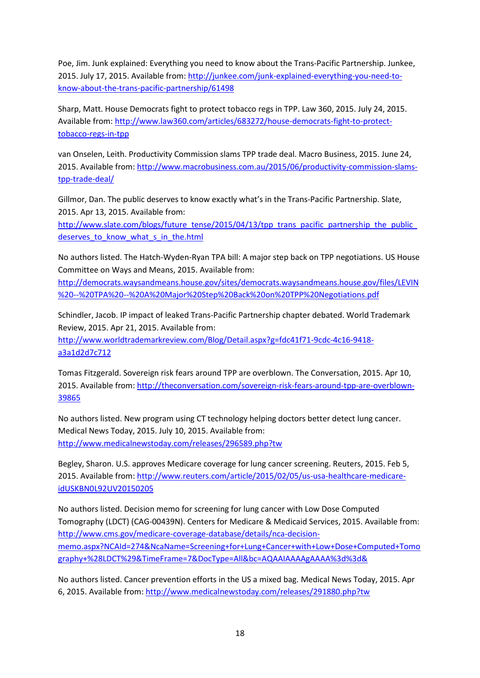Poe, Jim. Junk explained: Everything you need to know about the Trans-Pacific Partnership. Junkee, 2015. July 17, 2015. Available from: [http://junkee.com/junk-explained-everything-you-need-to](http://junkee.com/junk-explained-everything-you-need-to-know-about-the-trans-pacific-partnership/61498)[know-about-the-trans-pacific-partnership/61498](http://junkee.com/junk-explained-everything-you-need-to-know-about-the-trans-pacific-partnership/61498)

Sharp, Matt. House Democrats fight to protect tobacco regs in TPP. Law 360, 2015. July 24, 2015. Available from[: http://www.law360.com/articles/683272/house-democrats-fight-to-protect](http://www.law360.com/articles/683272/house-democrats-fight-to-protect-tobacco-regs-in-tpp)[tobacco-regs-in-tpp](http://www.law360.com/articles/683272/house-democrats-fight-to-protect-tobacco-regs-in-tpp)

van Onselen, Leith. Productivity Commission slams TPP trade deal. Macro Business, 2015. June 24, 2015. Available from: [http://www.macrobusiness.com.au/2015/06/productivity-commission-slams](http://www.macrobusiness.com.au/2015/06/productivity-commission-slams-tpp-trade-deal/)[tpp-trade-deal/](http://www.macrobusiness.com.au/2015/06/productivity-commission-slams-tpp-trade-deal/)

Gillmor, Dan. The public deserves to know exactly what's in the Trans-Pacific Partnership. Slate, 2015. Apr 13, 2015. Available from:

[http://www.slate.com/blogs/future\\_tense/2015/04/13/tpp\\_trans\\_pacific\\_partnership\\_the\\_public\\_](http://www.slate.com/blogs/future_tense/2015/04/13/tpp_trans_pacific_partnership_the_public_deserves_to_know_what_s_in_the.html) deserves to know what s in the.html

No authors listed. The Hatch-Wyden-Ryan TPA bill: A major step back on TPP negotiations. US House Committee on Ways and Means, 2015. Available from:

[http://democrats.waysandmeans.house.gov/sites/democrats.waysandmeans.house.gov/files/LEVIN](http://democrats.waysandmeans.house.gov/sites/democrats.waysandmeans.house.gov/files/LEVIN%20--%20TPA%20--%20A%20Major%20Step%20Back%20on%20TPP%20Negotiations.pdf) [%20--%20TPA%20--%20A%20Major%20Step%20Back%20on%20TPP%20Negotiations.pdf](http://democrats.waysandmeans.house.gov/sites/democrats.waysandmeans.house.gov/files/LEVIN%20--%20TPA%20--%20A%20Major%20Step%20Back%20on%20TPP%20Negotiations.pdf)

Schindler, Jacob. IP impact of leaked Trans-Pacific Partnership chapter debated. World Trademark Review, 2015. Apr 21, 2015. Available from:

[http://www.worldtrademarkreview.com/Blog/Detail.aspx?g=fdc41f71-9cdc-4c16-9418](http://www.worldtrademarkreview.com/Blog/Detail.aspx?g=fdc41f71-9cdc-4c16-9418-a3a1d2d7c712) [a3a1d2d7c712](http://www.worldtrademarkreview.com/Blog/Detail.aspx?g=fdc41f71-9cdc-4c16-9418-a3a1d2d7c712)

Tomas Fitzgerald. Sovereign risk fears around TPP are overblown. The Conversation, 2015. Apr 10, 2015. Available from: [http://theconversation.com/sovereign-risk-fears-around-tpp-are-overblown-](http://theconversation.com/sovereign-risk-fears-around-tpp-are-overblown-39865)[39865](http://theconversation.com/sovereign-risk-fears-around-tpp-are-overblown-39865)

No authors listed. New program using CT technology helping doctors better detect lung cancer. Medical News Today, 2015. July 10, 2015. Available from: <http://www.medicalnewstoday.com/releases/296589.php?tw>

Begley, Sharon. U.S. approves Medicare coverage for lung cancer screening. Reuters, 2015. Feb 5, 2015. Available from: [http://www.reuters.com/article/2015/02/05/us-usa-healthcare-medicare](http://www.reuters.com/article/2015/02/05/us-usa-healthcare-medicare-idUSKBN0L92UV20150205)[idUSKBN0L92UV20150205](http://www.reuters.com/article/2015/02/05/us-usa-healthcare-medicare-idUSKBN0L92UV20150205)

No authors listed. Decision memo for screening for lung cancer with Low Dose Computed Tomography (LDCT) (CAG-00439N). Centers for Medicare & Medicaid Services, 2015. Available from: [http://www.cms.gov/medicare-coverage-database/details/nca-decision](http://www.cms.gov/medicare-coverage-database/details/nca-decision-memo.aspx?NCAId=274&NcaName=Screening+for+Lung+Cancer+with+Low+Dose+Computed+Tomography+%28LDCT%29&TimeFrame=7&DocType=All&bc=AQAAIAAAAgAAAA%3d%3d&)[memo.aspx?NCAId=274&NcaName=Screening+for+Lung+Cancer+with+Low+Dose+Computed+Tomo](http://www.cms.gov/medicare-coverage-database/details/nca-decision-memo.aspx?NCAId=274&NcaName=Screening+for+Lung+Cancer+with+Low+Dose+Computed+Tomography+%28LDCT%29&TimeFrame=7&DocType=All&bc=AQAAIAAAAgAAAA%3d%3d&) [graphy+%28LDCT%29&TimeFrame=7&DocType=All&bc=AQAAIAAAAgAAAA%3d%3d&](http://www.cms.gov/medicare-coverage-database/details/nca-decision-memo.aspx?NCAId=274&NcaName=Screening+for+Lung+Cancer+with+Low+Dose+Computed+Tomography+%28LDCT%29&TimeFrame=7&DocType=All&bc=AQAAIAAAAgAAAA%3d%3d&)

No authors listed. Cancer prevention efforts in the US a mixed bag. Medical News Today, 2015. Apr 6, 2015. Available from:<http://www.medicalnewstoday.com/releases/291880.php?tw>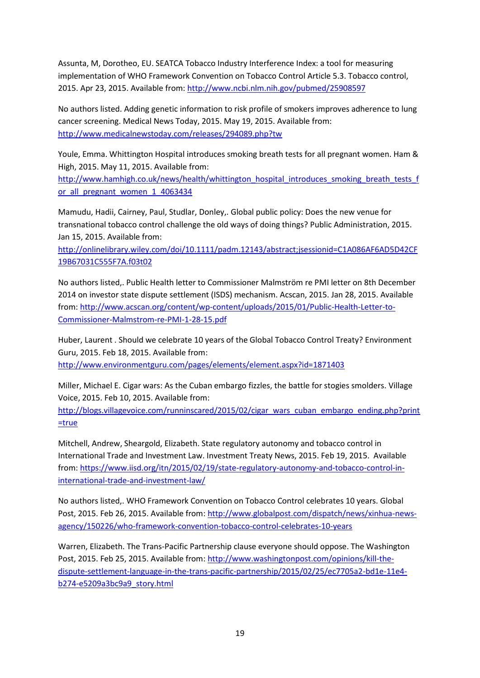Assunta, M, Dorotheo, EU. SEATCA Tobacco Industry Interference Index: a tool for measuring implementation of WHO Framework Convention on Tobacco Control Article 5.3. Tobacco control, 2015. Apr 23, 2015. Available from:<http://www.ncbi.nlm.nih.gov/pubmed/25908597>

No authors listed. Adding genetic information to risk profile of smokers improves adherence to lung cancer screening. Medical News Today, 2015. May 19, 2015. Available from: <http://www.medicalnewstoday.com/releases/294089.php?tw>

Youle, Emma. Whittington Hospital introduces smoking breath tests for all pregnant women. Ham & High, 2015. May 11, 2015. Available from:

[http://www.hamhigh.co.uk/news/health/whittington\\_hospital\\_introduces\\_smoking\\_breath\\_tests\\_f](http://www.hamhigh.co.uk/news/health/whittington_hospital_introduces_smoking_breath_tests_for_all_pregnant_women_1_4063434) or all pregnant women 1 4063434

Mamudu, Hadii, Cairney, Paul, Studlar, Donley,. Global public policy: Does the new venue for transnational tobacco control challenge the old ways of doing things? Public Administration, 2015. Jan 15, 2015. Available from:

[http://onlinelibrary.wiley.com/doi/10.1111/padm.12143/abstract;jsessionid=C1A086AF6AD5D42CF](http://onlinelibrary.wiley.com/doi/10.1111/padm.12143/abstract;jsessionid=C1A086AF6AD5D42CF19B67031C555F7A.f03t02) [19B67031C555F7A.f03t02](http://onlinelibrary.wiley.com/doi/10.1111/padm.12143/abstract;jsessionid=C1A086AF6AD5D42CF19B67031C555F7A.f03t02)

No authors listed,. Public Health letter to Commissioner Malmström re PMI letter on 8th December 2014 on investor state dispute settlement (ISDS) mechanism. Acscan, 2015. Jan 28, 2015. Available from: [http://www.acscan.org/content/wp-content/uploads/2015/01/Public-Health-Letter-to-](http://www.acscan.org/content/wp-content/uploads/2015/01/Public-Health-Letter-to-Commissioner-Malmstrom-re-PMI-1-28-15.pdf)[Commissioner-Malmstrom-re-PMI-1-28-15.pdf](http://www.acscan.org/content/wp-content/uploads/2015/01/Public-Health-Letter-to-Commissioner-Malmstrom-re-PMI-1-28-15.pdf)

Huber, Laurent . Should we celebrate 10 years of the Global Tobacco Control Treaty? Environment Guru, 2015. Feb 18, 2015. Available from:

<http://www.environmentguru.com/pages/elements/element.aspx?id=1871403>

Miller, Michael E. Cigar wars: As the Cuban embargo fizzles, the battle for stogies smolders. Village Voice, 2015. Feb 10, 2015. Available from:

[http://blogs.villagevoice.com/runninscared/2015/02/cigar\\_wars\\_cuban\\_embargo\\_ending.php?print](http://blogs.villagevoice.com/runninscared/2015/02/cigar_wars_cuban_embargo_ending.php?print=true) [=true](http://blogs.villagevoice.com/runninscared/2015/02/cigar_wars_cuban_embargo_ending.php?print=true)

Mitchell, Andrew, Sheargold, Elizabeth. State regulatory autonomy and tobacco control in International Trade and Investment Law. Investment Treaty News, 2015. Feb 19, 2015. Available from: [https://www.iisd.org/itn/2015/02/19/state-regulatory-autonomy-and-tobacco-control-in](https://www.iisd.org/itn/2015/02/19/state-regulatory-autonomy-and-tobacco-control-in-international-trade-and-investment-law/)[international-trade-and-investment-law/](https://www.iisd.org/itn/2015/02/19/state-regulatory-autonomy-and-tobacco-control-in-international-trade-and-investment-law/)

No authors listed,. WHO Framework Convention on Tobacco Control celebrates 10 years. Global Post, 2015. Feb 26, 2015. Available from: [http://www.globalpost.com/dispatch/news/xinhua-news](http://www.globalpost.com/dispatch/news/xinhua-news-agency/150226/who-framework-convention-tobacco-control-celebrates-10-years)[agency/150226/who-framework-convention-tobacco-control-celebrates-10-years](http://www.globalpost.com/dispatch/news/xinhua-news-agency/150226/who-framework-convention-tobacco-control-celebrates-10-years)

Warren, Elizabeth. The Trans-Pacific Partnership clause everyone should oppose. The Washington Post, 2015. Feb 25, 2015. Available from: [http://www.washingtonpost.com/opinions/kill-the](http://www.washingtonpost.com/opinions/kill-the-dispute-settlement-language-in-the-trans-pacific-partnership/2015/02/25/ec7705a2-bd1e-11e4-b274-e5209a3bc9a9_story.html)[dispute-settlement-language-in-the-trans-pacific-partnership/2015/02/25/ec7705a2-bd1e-11e4](http://www.washingtonpost.com/opinions/kill-the-dispute-settlement-language-in-the-trans-pacific-partnership/2015/02/25/ec7705a2-bd1e-11e4-b274-e5209a3bc9a9_story.html) [b274-e5209a3bc9a9\\_story.html](http://www.washingtonpost.com/opinions/kill-the-dispute-settlement-language-in-the-trans-pacific-partnership/2015/02/25/ec7705a2-bd1e-11e4-b274-e5209a3bc9a9_story.html)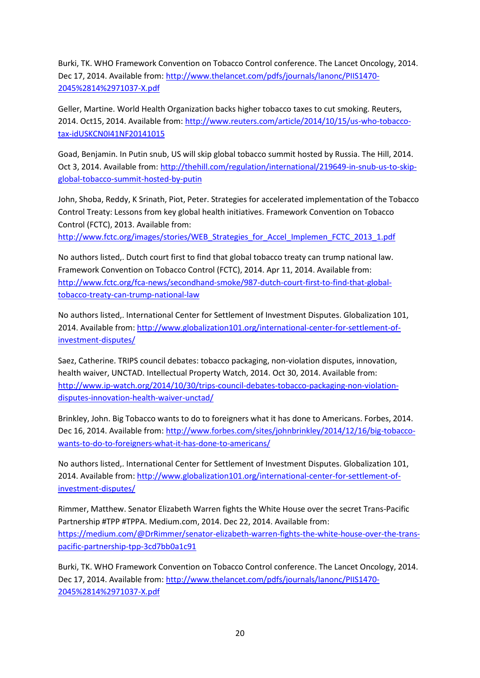Burki, TK. WHO Framework Convention on Tobacco Control conference. The Lancet Oncology, 2014. Dec 17, 2014. Available from[: http://www.thelancet.com/pdfs/journals/lanonc/PIIS1470-](http://www.thelancet.com/pdfs/journals/lanonc/PIIS1470-2045%2814%2971037-X.pdf) [2045%2814%2971037-X.pdf](http://www.thelancet.com/pdfs/journals/lanonc/PIIS1470-2045%2814%2971037-X.pdf)

Geller, Martine. World Health Organization backs higher tobacco taxes to cut smoking. Reuters, 2014. Oct15, 2014. Available from[: http://www.reuters.com/article/2014/10/15/us-who-tobacco](http://www.reuters.com/article/2014/10/15/us-who-tobacco-tax-idUSKCN0I41NF20141015)[tax-idUSKCN0I41NF20141015](http://www.reuters.com/article/2014/10/15/us-who-tobacco-tax-idUSKCN0I41NF20141015)

Goad, Benjamin. In Putin snub, US will skip global tobacco summit hosted by Russia. The Hill, 2014. Oct 3, 2014. Available from: [http://thehill.com/regulation/international/219649-in-snub-us-to-skip](http://thehill.com/regulation/international/219649-in-snub-us-to-skip-global-tobacco-summit-hosted-by-putin)[global-tobacco-summit-hosted-by-putin](http://thehill.com/regulation/international/219649-in-snub-us-to-skip-global-tobacco-summit-hosted-by-putin)

John, Shoba, Reddy, K Srinath, Piot, Peter. Strategies for accelerated implementation of the Tobacco Control Treaty: Lessons from key global health initiatives. Framework Convention on Tobacco Control (FCTC), 2013. Available from: [http://www.fctc.org/images/stories/WEB\\_Strategies\\_for\\_Accel\\_Implemen\\_FCTC\\_2013\\_1.pdf](http://www.fctc.org/images/stories/WEB_Strategies_for_Accel_Implemen_FCTC_2013_1.pdf)

No authors listed,. Dutch court first to find that global tobacco treaty can trump national law. Framework Convention on Tobacco Control (FCTC), 2014. Apr 11, 2014. Available from: [http://www.fctc.org/fca-news/secondhand-smoke/987-dutch-court-first-to-find-that-global](http://www.fctc.org/fca-news/secondhand-smoke/987-dutch-court-first-to-find-that-global-tobacco-treaty-can-trump-national-law)[tobacco-treaty-can-trump-national-law](http://www.fctc.org/fca-news/secondhand-smoke/987-dutch-court-first-to-find-that-global-tobacco-treaty-can-trump-national-law)

No authors listed,. International Center for Settlement of Investment Disputes. Globalization 101, 2014. Available from: [http://www.globalization101.org/international-center-for-settlement-of](http://www.globalization101.org/international-center-for-settlement-of-investment-disputes/)[investment-disputes/](http://www.globalization101.org/international-center-for-settlement-of-investment-disputes/)

Saez, Catherine. TRIPS council debates: tobacco packaging, non-violation disputes, innovation, health waiver, UNCTAD. Intellectual Property Watch, 2014. Oct 30, 2014. Available from: [http://www.ip-watch.org/2014/10/30/trips-council-debates-tobacco-packaging-non-violation](http://www.ip-watch.org/2014/10/30/trips-council-debates-tobacco-packaging-non-violation-disputes-innovation-health-waiver-unctad/)[disputes-innovation-health-waiver-unctad/](http://www.ip-watch.org/2014/10/30/trips-council-debates-tobacco-packaging-non-violation-disputes-innovation-health-waiver-unctad/)

Brinkley, John. Big Tobacco wants to do to foreigners what it has done to Americans. Forbes, 2014. Dec 16, 2014. Available from[: http://www.forbes.com/sites/johnbrinkley/2014/12/16/big-tobacco](http://www.forbes.com/sites/johnbrinkley/2014/12/16/big-tobacco-wants-to-do-to-foreigners-what-it-has-done-to-americans/)[wants-to-do-to-foreigners-what-it-has-done-to-americans/](http://www.forbes.com/sites/johnbrinkley/2014/12/16/big-tobacco-wants-to-do-to-foreigners-what-it-has-done-to-americans/)

No authors listed,. International Center for Settlement of Investment Disputes. Globalization 101, 2014. Available from: [http://www.globalization101.org/international-center-for-settlement-of](http://www.globalization101.org/international-center-for-settlement-of-investment-disputes/)[investment-disputes/](http://www.globalization101.org/international-center-for-settlement-of-investment-disputes/)

Rimmer, Matthew. Senator Elizabeth Warren fights the White House over the secret Trans-Pacific Partnership #TPP #TPPA. Medium.com, 2014. Dec 22, 2014. Available from: [https://medium.com/@DrRimmer/senator-elizabeth-warren-fights-the-white-house-over-the-trans](https://medium.com/@DrRimmer/senator-elizabeth-warren-fights-the-white-house-over-the-trans-pacific-partnership-tpp-3cd7bb0a1c91)[pacific-partnership-tpp-3cd7bb0a1c91](https://medium.com/@DrRimmer/senator-elizabeth-warren-fights-the-white-house-over-the-trans-pacific-partnership-tpp-3cd7bb0a1c91)

Burki, TK. WHO Framework Convention on Tobacco Control conference. The Lancet Oncology, 2014. Dec 17, 2014. Available from[: http://www.thelancet.com/pdfs/journals/lanonc/PIIS1470-](http://www.thelancet.com/pdfs/journals/lanonc/PIIS1470-2045%2814%2971037-X.pdf) [2045%2814%2971037-X.pdf](http://www.thelancet.com/pdfs/journals/lanonc/PIIS1470-2045%2814%2971037-X.pdf)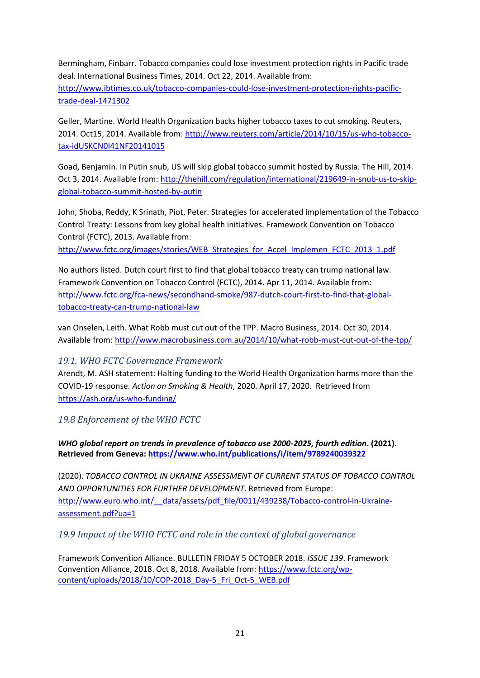Bermingham, Finbarr. Tobacco companies could lose investment protection rights in Pacific trade deal. International Business Times, 2014. Oct 22, 2014. Available from: [http://www.ibtimes.co.uk/tobacco-companies-could-lose-investment-protection-rights-pacific](http://www.ibtimes.co.uk/tobacco-companies-could-lose-investment-protection-rights-pacific-trade-deal-1471302)[trade-deal-1471302](http://www.ibtimes.co.uk/tobacco-companies-could-lose-investment-protection-rights-pacific-trade-deal-1471302)

Geller, Martine. World Health Organization backs higher tobacco taxes to cut smoking. Reuters, 2014. Oct15, 2014. Available from[: http://www.reuters.com/article/2014/10/15/us-who-tobacco](http://www.reuters.com/article/2014/10/15/us-who-tobacco-tax-idUSKCN0I41NF20141015)[tax-idUSKCN0I41NF20141015](http://www.reuters.com/article/2014/10/15/us-who-tobacco-tax-idUSKCN0I41NF20141015)

Goad, Benjamin. In Putin snub, US will skip global tobacco summit hosted by Russia. The Hill, 2014. Oct 3, 2014. Available from: [http://thehill.com/regulation/international/219649-in-snub-us-to-skip](http://thehill.com/regulation/international/219649-in-snub-us-to-skip-global-tobacco-summit-hosted-by-putin)[global-tobacco-summit-hosted-by-putin](http://thehill.com/regulation/international/219649-in-snub-us-to-skip-global-tobacco-summit-hosted-by-putin)

John, Shoba, Reddy, K Srinath, Piot, Peter. Strategies for accelerated implementation of the Tobacco Control Treaty: Lessons from key global health initiatives. Framework Convention on Tobacco Control (FCTC), 2013. Available from:

[http://www.fctc.org/images/stories/WEB\\_Strategies\\_for\\_Accel\\_Implemen\\_FCTC\\_2013\\_1.pdf](http://www.fctc.org/images/stories/WEB_Strategies_for_Accel_Implemen_FCTC_2013_1.pdf)

No authors listed. Dutch court first to find that global tobacco treaty can trump national law. Framework Convention on Tobacco Control (FCTC), 2014. Apr 11, 2014. Available from: [http://www.fctc.org/fca-news/secondhand-smoke/987-dutch-court-first-to-find-that-global](http://www.fctc.org/fca-news/secondhand-smoke/987-dutch-court-first-to-find-that-global-tobacco-treaty-can-trump-national-law)[tobacco-treaty-can-trump-national-law](http://www.fctc.org/fca-news/secondhand-smoke/987-dutch-court-first-to-find-that-global-tobacco-treaty-can-trump-national-law)

van Onselen, Leith. What Robb must cut out of the TPP. Macro Business, 2014. Oct 30, 2014. Available from[: http://www.macrobusiness.com.au/2014/10/what-robb-must-cut-out-of-the-tpp/](http://www.macrobusiness.com.au/2014/10/what-robb-must-cut-out-of-the-tpp/)

#### <span id="page-20-0"></span>*19.1. WHO FCTC Governance Framework*

Arendt, M. ASH statement: Halting funding to the World Health Organization harms more than the COVID-19 response. *Action on Smoking & Health*, 2020. April 17, 2020. Retrieved from <https://ash.org/us-who-funding/>

<span id="page-20-1"></span>*19.8 Enforcement of the WHO FCTC*

*WHO global report on trends in prevalence of tobacco use 2000-2025, fourth edition***. (2021). Retrieved from Geneva[: https://www.who.int/publications/i/item/9789240039322](https://www.who.int/publications/i/item/9789240039322)**

(2020). *TOBACCO CONTROL IN UKRAINE ASSESSMENT OF CURRENT STATUS OF TOBACCO CONTROL AND OPPORTUNITIES FOR FURTHER DEVELOPMENT*. Retrieved from Europe: [http://www.euro.who.int/\\_\\_data/assets/pdf\\_file/0011/439238/Tobacco-control-in-Ukraine](http://www.euro.who.int/__data/assets/pdf_file/0011/439238/Tobacco-control-in-Ukraine-assessment.pdf?ua=1)[assessment.pdf?ua=1](http://www.euro.who.int/__data/assets/pdf_file/0011/439238/Tobacco-control-in-Ukraine-assessment.pdf?ua=1)

<span id="page-20-2"></span>*19.9 Impact of the WHO FCTC and role in the context of global governance*

Framework Convention Alliance. BULLETIN FRIDAY 5 OCTOBER 2018. *ISSUE 139*. Framework Convention Alliance, 2018. Oct 8, 2018. Available from: [https://www.fctc.org/wp](https://www.fctc.org/wp-content/uploads/2018/10/COP-2018_Day-5_Fri_Oct-5_WEB.pdf)[content/uploads/2018/10/COP-2018\\_Day-5\\_Fri\\_Oct-5\\_WEB.pdf](https://www.fctc.org/wp-content/uploads/2018/10/COP-2018_Day-5_Fri_Oct-5_WEB.pdf)